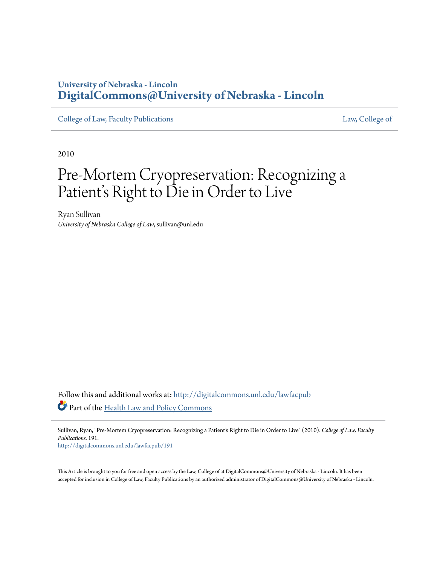# **University of Nebraska - Lincoln [DigitalCommons@University of Nebraska - Lincoln](http://digitalcommons.unl.edu?utm_source=digitalcommons.unl.edu%2Flawfacpub%2F191&utm_medium=PDF&utm_campaign=PDFCoverPages)**

[College of Law, Faculty Publications](http://digitalcommons.unl.edu/lawfacpub?utm_source=digitalcommons.unl.edu%2Flawfacpub%2F191&utm_medium=PDF&utm_campaign=PDFCoverPages) [Law, College of](http://digitalcommons.unl.edu/law?utm_source=digitalcommons.unl.edu%2Flawfacpub%2F191&utm_medium=PDF&utm_campaign=PDFCoverPages) Law, College of

2010

# Pre-Mortem Cryopreservation: Recognizing a Patient's Right to Die in Order to Live

Ryan Sullivan *University of Nebraska College of Law*, sullivan@unl.edu

Follow this and additional works at: [http://digitalcommons.unl.edu/lawfacpub](http://digitalcommons.unl.edu/lawfacpub?utm_source=digitalcommons.unl.edu%2Flawfacpub%2F191&utm_medium=PDF&utm_campaign=PDFCoverPages) Part of the [Health Law and Policy Commons](http://network.bepress.com/hgg/discipline/901?utm_source=digitalcommons.unl.edu%2Flawfacpub%2F191&utm_medium=PDF&utm_campaign=PDFCoverPages)

Sullivan, Ryan, "Pre-Mortem Cryopreservation: Recognizing a Patient's Right to Die in Order to Live" (2010). *College of Law, Faculty Publications*. 191.

[http://digitalcommons.unl.edu/lawfacpub/191](http://digitalcommons.unl.edu/lawfacpub/191?utm_source=digitalcommons.unl.edu%2Flawfacpub%2F191&utm_medium=PDF&utm_campaign=PDFCoverPages)

This Article is brought to you for free and open access by the Law, College of at DigitalCommons@University of Nebraska - Lincoln. It has been accepted for inclusion in College of Law, Faculty Publications by an authorized administrator of DigitalCommons@University of Nebraska - Lincoln.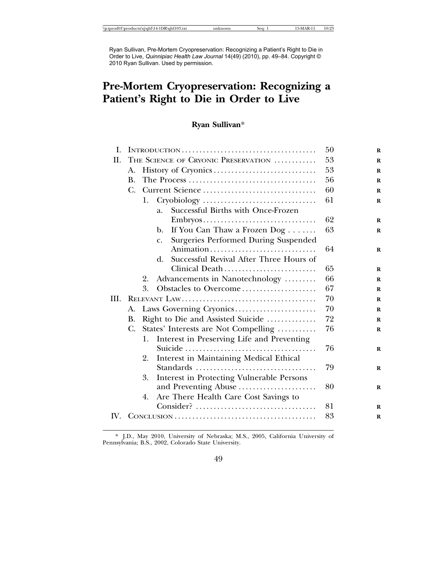Ryan Sullivan, Pre-Mortem Cryopreservation: Recognizing a Patient's Right to Die in Order to Live, *Quinnipiac Health Law Journal* 14(49) (2010), pp. 49–84. Copyright © 2010 Ryan Sullivan. Used by permission.

# **Pre-Mortem Cryopreservation: Recognizing a Patient's Right to Die in Order to Live**

# **Ryan Sullivan**\*

| Ι.   |                                            |                                     |                                                        | 50 |
|------|--------------------------------------------|-------------------------------------|--------------------------------------------------------|----|
| П.   |                                            | THE SCIENCE OF CRYONIC PRESERVATION | 53                                                     |    |
|      | А.                                         |                                     |                                                        | 53 |
|      | $\mathbf{B}$ .                             |                                     |                                                        | 56 |
|      | C.                                         | Current Science                     |                                                        | 60 |
|      |                                            | 1.                                  |                                                        | 61 |
|      |                                            |                                     | Successful Births with Once-Frozen<br>$\overline{a}$ . |    |
|      |                                            |                                     | Embryos                                                | 62 |
|      |                                            |                                     | If You Can Thaw a Frozen Dog<br>b.                     | 63 |
|      |                                            |                                     | <b>Surgeries Performed During Suspended</b><br>c.      |    |
|      |                                            |                                     | Animation                                              | 64 |
|      |                                            |                                     | Successful Revival After Three Hours of<br>d.          |    |
|      |                                            |                                     | Clinical Death                                         | 65 |
|      |                                            | 2.                                  | Advancements in Nanotechnology                         | 66 |
|      |                                            | 3.                                  | Obstacles to Overcome                                  | 67 |
| III. |                                            |                                     |                                                        | 70 |
|      | А.                                         |                                     | Laws Governing Cryonics                                | 70 |
|      | В.                                         | Right to Die and Assisted Suicide   | 72                                                     |    |
|      | States' Interests are Not Compelling<br>C. |                                     |                                                        | 76 |
|      |                                            | 1.                                  | Interest in Preserving Life and Preventing             |    |
|      |                                            |                                     | Suicide                                                | 76 |
|      |                                            | 2.                                  | Interest in Maintaining Medical Ethical                |    |
|      |                                            |                                     |                                                        | 79 |
|      |                                            | 3.                                  | <b>Interest in Protecting Vulnerable Persons</b>       |    |
|      |                                            |                                     | and Preventing Abuse                                   | 80 |
|      |                                            | 4.                                  | Are There Health Care Cost Savings to                  |    |
|      |                                            |                                     | $Consider?$                                            | 81 |
| IV.  |                                            |                                     |                                                        | 83 |

<sup>\*</sup> J.D., May 2010, University of Nebraska; M.S., 2005, California University of Pennsylvania; B.S., 2002, Colorado State University.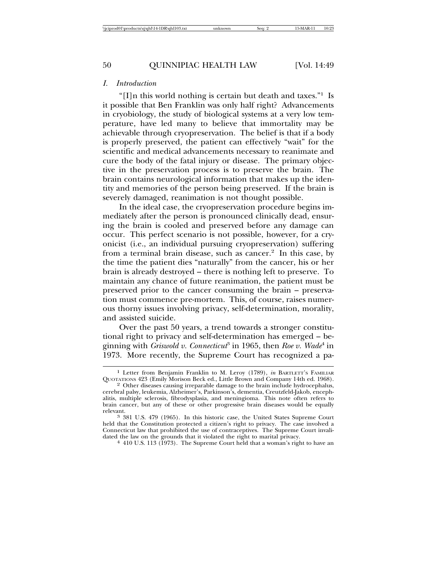#### *I. Introduction*

"[I]n this world nothing is certain but death and taxes."<sup>1</sup> Is it possible that Ben Franklin was only half right? Advancements in cryobiology, the study of biological systems at a very low temperature, have led many to believe that immortality may be achievable through cryopreservation. The belief is that if a body is properly preserved, the patient can effectively "wait" for the scientific and medical advancements necessary to reanimate and cure the body of the fatal injury or disease. The primary objective in the preservation process is to preserve the brain. The brain contains neurological information that makes up the identity and memories of the person being preserved. If the brain is severely damaged, reanimation is not thought possible.

In the ideal case, the cryopreservation procedure begins immediately after the person is pronounced clinically dead, ensuring the brain is cooled and preserved before any damage can occur. This perfect scenario is not possible, however, for a cryonicist (i.e., an individual pursuing cryopreservation) suffering from a terminal brain disease, such as cancer.<sup>2</sup> In this case, by the time the patient dies "naturally" from the cancer, his or her brain is already destroyed – there is nothing left to preserve. To maintain any chance of future reanimation, the patient must be preserved prior to the cancer consuming the brain – preservation must commence pre-mortem. This, of course, raises numerous thorny issues involving privacy, self-determination, morality, and assisted suicide.

Over the past 50 years, a trend towards a stronger constitutional right to privacy and self-determination has emerged – beginning with *Griswold v. Connecticut*<sup>3</sup> in 1965, then *Roe v. Wade*<sup>4</sup> in 1973. More recently, the Supreme Court has recognized a pa-

<sup>&</sup>lt;sup>1</sup> Letter from Benjamin Franklin to M. Leroy (1789), *in* BARTLETT's FAMILIAR QUOTATIONS 423 (Emily Morison Beck ed., Little Brown and Company 14th ed. 1968).

<sup>&</sup>lt;sup>2</sup> Other diseases causing irreparable damage to the brain include hydrocephalus, cerebral palsy, leukemia, Alzheimer's, Parkinson's, dementia, Creutzfeld-Jakob, encephalitis, multiple sclerosis, fibrodysplasia, and meningioma. This note often refers to brain cancer, but any of these or other progressive brain diseases would be equally relevant. <sup>3</sup> 381 U.S. 479 (1965). In this historic case, the United States Supreme Court

held that the Constitution protected a citizen's right to privacy. The case involved a Connecticut law that prohibited the use of contraceptives. The Supreme Court invalidated the law on the grounds that it violated the right to marital privacy.<br>
<sup>4</sup> 410 U.S. 113 (1973). The Supreme Court held that a woman's right to have an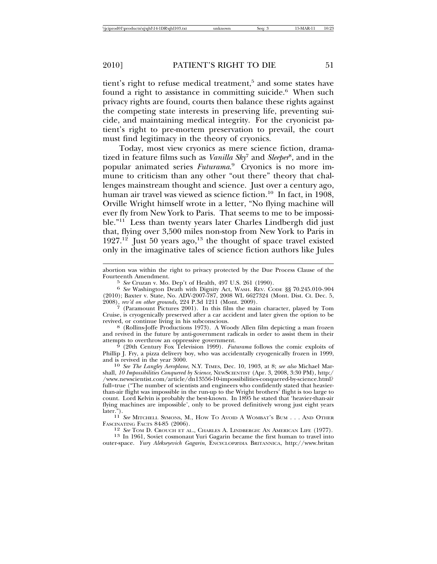tient's right to refuse medical treatment,<sup>5</sup> and some states have found a right to assistance in committing suicide.<sup>6</sup> When such privacy rights are found, courts then balance these rights against the competing state interests in preserving life, preventing suicide, and maintaining medical integrity. For the cryonicist patient's right to pre-mortem preservation to prevail, the court must find legitimacy in the theory of cryonics.

Today, most view cryonics as mere science fiction, dramatized in feature films such as *Vanilla Sky*<sup>7</sup> and *Sleeper*<sup>8</sup> , and in the popular animated series *Futurama*. 9 Cryonics is no more immune to criticism than any other "out there" theory that challenges mainstream thought and science. Just over a century ago, human air travel was viewed as science fiction.<sup>10</sup> In fact, in 1908, Orville Wright himself wrote in a letter, "No flying machine will ever fly from New York to Paris. That seems to me to be impossible."<sup>11</sup> Less than twenty years later Charles Lindbergh did just that, flying over 3,500 miles non-stop from New York to Paris in 1927.<sup>12</sup> Just 50 years ago,<sup>13</sup> the thought of space travel existed only in the imaginative tales of science fiction authors like Jules

abortion was within the right to privacy protected by the Due Process Clause of the Fourteenth Amendment. <sup>5</sup> *See* Cruzan v. Mo. Dep't of Health, 497 U.S. 261 (1990). <sup>6</sup> *See* Washington Death with Dignity Act, WASH. REV. CODE §§ 70.245.010-.904

2008), *rev'd on other grounds*, 224 P.3d 1211 (Mont. 2009). <sup>7</sup> (Paramount Pictures 2001). In this film the main character, played by Tom Cruise, is cryogenically preserved after a car accident and later given the option to be

 $8$ <sup>(Rollins-Joffe Productions 1973).</sup> A Woody Allen film depicting a man frozen and revived in the future by anti-government radicals in order to assist them in their

<sup>9</sup> (20th Century Fox Television 1999). *Futurama* follows the comic exploits of Phillip J. Fry, a pizza delivery boy, who was accidentally cryogenically frozen in 1999,

<sup>10</sup> See The Langley Aeroplane, N.Y. TIMES, Dec. 10, 1903, at 8; see also Michael Marshall, *10 Impossibilities Conquered by Science*, NEWSCIENTIST (Apr. 3, 2008, 3:30 PM), http:/ /www.newscientist.com/article/dn13556-10-impossibilities-conquered-by-science.html? full=true ("The number of scientists and engineers who confidently stated that heavierthan-air flight was impossible in the run-up to the Wright brothers' flight is too large to count. Lord Kelvin is probably the best-known. In 1895 he stated that 'heavier-than-air flying machines are impossible', only to be proved definitively wrong just eight years later.").

 $11$  *See* MITCHELL SYMONS, M., HOW TO AVOID A WOMBAT'S BUM . . . AND OTHER FASCINATING FACTS 84-85 (2006).

<sup>12</sup> See TOM D. CROUCH ET AL., CHARLES A. LINDBERGH: AN AMERICAN LIFE (1977). <sup>13</sup> In 1961, Soviet cosmonaut Yuri Gagarin became the first human to travel into

outer-space. *Yury Alekseyevich Gagarin*, ENCYCLOPæDIA BRITANNICA, http://www.britan

<sup>(2010);</sup> Baxter v. State, No. ADV-2007-787, 2008 WL 6627324 (Mont. Dist. Ct. Dec. 5,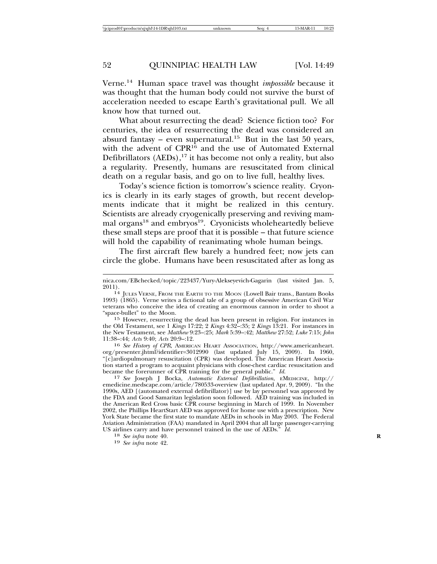Verne.14 Human space travel was thought *impossible* because it was thought that the human body could not survive the burst of acceleration needed to escape Earth's gravitational pull. We all know how that turned out.

What about resurrecting the dead? Science fiction too? For centuries, the idea of resurrecting the dead was considered an absurd fantasy – even supernatural.<sup>15</sup> But in the last 50 years, with the advent of CPR<sup>16</sup> and the use of Automated External Defibrillators  $(AEDs)$ ,<sup>17</sup> it has become not only a reality, but also a regularity. Presently, humans are resuscitated from clinical death on a regular basis, and go on to live full, healthy lives.

Today's science fiction is tomorrow's science reality. Cryonics is clearly in its early stages of growth, but recent developments indicate that it might be realized in this century. Scientists are already cryogenically preserving and reviving mammal organs<sup>18</sup> and embryos<sup>19</sup>. Cryonicists wholeheartedly believe these small steps are proof that it is possible – that future science will hold the capability of reanimating whole human beings.

The first aircraft flew barely a hundred feet; now jets can circle the globe. Humans have been resuscitated after as long as

the Old Testament, see 1 *Kings* 17:22; 2 *Kings* 4:32–:35; 2 *Kings* 13:21. For instances in the New Testament, see *Matthew* 9:23–:25; *Mark* 5:39–:42; *Matthew* 27:52; *Luke* 7:15; *John*

11:38–:44; *Acts* 9:40; *Acts* 20:9–:12. <sup>16</sup> *See History of CPR*, AMERICAN HEART ASSOCIATION, http://www.americanheart. org/presenter.jhtml?identifier=3012990 (last updated July 15, 2009). In 1960, "[c]ardiopulmonary resuscitation (CPR) was developed. The American Heart Association started a program to acquaint physicians with close-chest cardiac resuscitation and

became the forerunner of CPR training for the general public." *Id.* <sup>17</sup> *See* Joseph J Bocka, *Automatic External Defibrillation*, EMEDICINE, http:// emedicine.medscape.com/article/780533-overview (last updated Apr. 9, 2009). "In the 1990s, AED [(automated external defibrillator)] use by lay personnel was approved by the FDA and Good Samaritan legislation soon followed. AED training was included in the American Red Cross basic CPR course beginning in March of 1999. In November 2002, the Phillips HeartStart AED was approved for home use with a prescription. New York State became the first state to mandate AEDs in schools in May 2003. The Federal Aviation Administration (FAA) mandated in April 2004 that all large passenger-carrying US airlines carry and have personnel trained in the use of AEDs." *Id.* <sup>18</sup> *See infra* note 40. <sup>19</sup> *See infra* note 42.

nica.com/EBchecked/topic/223437/Yury-Alekseyevich-Gagarin (last visited Jan. 5,

<sup>&</sup>lt;sup>14</sup> JULES VERNE, FROM THE EARTH TO THE MOON (Lowell Bair trans., Bantam Books 1993) (1865). Verne writes a fictional tale of a group of obsessive American Civil War veterans who conceive the idea of creating an enormous cannon in order to shoot a "space-bullet" to the Moon. <sup>15</sup> However, resurrecting the dead has been present in religion. For instances in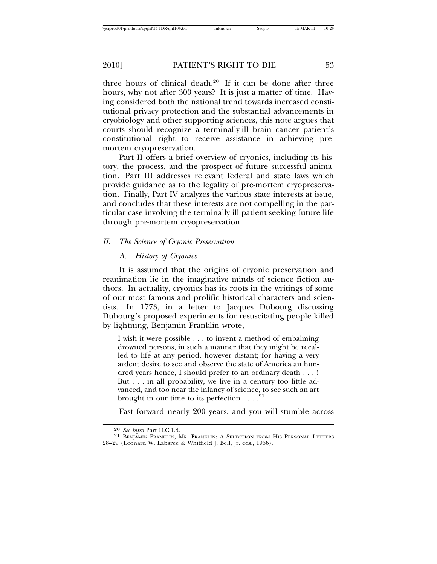three hours of clinical death.20 If it can be done after three hours, why not after 300 years? It is just a matter of time. Having considered both the national trend towards increased constitutional privacy protection and the substantial advancements in cryobiology and other supporting sciences, this note argues that courts should recognize a terminally-ill brain cancer patient's constitutional right to receive assistance in achieving premortem cryopreservation.

Part II offers a brief overview of cryonics, including its history, the process, and the prospect of future successful animation. Part III addresses relevant federal and state laws which provide guidance as to the legality of pre-mortem cryopreservation. Finally, Part IV analyzes the various state interests at issue, and concludes that these interests are not compelling in the particular case involving the terminally ill patient seeking future life through pre-mortem cryopreservation.

#### *II. The Science of Cryonic Preservation*

#### *A. History of Cryonics*

It is assumed that the origins of cryonic preservation and reanimation lie in the imaginative minds of science fiction authors. In actuality, cryonics has its roots in the writings of some of our most famous and prolific historical characters and scientists. In 1773, in a letter to Jacques Dubourg discussing Dubourg's proposed experiments for resuscitating people killed by lightning, Benjamin Franklin wrote,

I wish it were possible . . . to invent a method of embalming drowned persons, in such a manner that they might be recalled to life at any period, however distant; for having a very ardent desire to see and observe the state of America an hundred years hence, I should prefer to an ordinary death . . . ! But . . . in all probability, we live in a century too little advanced, and too near the infancy of science, to see such an art brought in our time to its perfection  $\dots$ <sup>21</sup>

Fast forward nearly 200 years, and you will stumble across

<sup>&</sup>lt;sup>20</sup> *See infra* Part II.C.1.d.<br><sup>21</sup> BENJAMIN FRANKLIN, MR. FRANKLIN: A SELECTION FROM HIS PERSONAL LETTERS 28–29 (Leonard W. Labaree & Whitfield J. Bell, Jr. eds., 1956).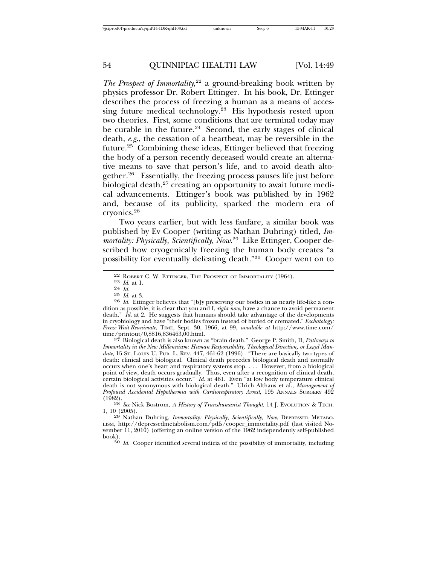*The Prospect of Immortality*, 22 a ground-breaking book written by physics professor Dr. Robert Ettinger. In his book, Dr. Ettinger describes the process of freezing a human as a means of accessing future medical technology.23 His hypothesis rested upon two theories. First, some conditions that are terminal today may be curable in the future. $24$  Second, the early stages of clinical death, *e.g*., the cessation of a heartbeat, may be reversible in the future.25 Combining these ideas, Ettinger believed that freezing the body of a person recently deceased would create an alternative means to save that person's life, and to avoid death altogether.<sup>26</sup> Essentially, the freezing process pauses life just before biological death,<sup>27</sup> creating an opportunity to await future medical advancements. Ettinger's book was published by in 1962 and, because of its publicity, sparked the modern era of cryonics.28

Two years earlier, but with less fanfare, a similar book was published by Ev Cooper (writing as Nathan Duhring) titled, *Immortality: Physically, Scientifically, Now*. 29 Like Ettinger, Cooper described how cryogenically freezing the human body creates "a possibility for eventually defeating death."30 Cooper went on to

27 Biological death is also known as "brain death." George P. Smith, II, *Pathways to Immortality in the New Millennium: Human Responsibility, Theological Direction, or Legal Man*date, 15 ST. LOUIS U. PUB. L. REV. 447, 461-62 (1996). "There are basically two types of death: clinical and biological. Clinical death precedes biological death and normally occurs when one's heart and respiratory systems stop. . . . However, from a biological point of view, death occurs gradually. Thus, even after a recognition of clinical death, certain biological activities occur." *Id.* at 461. Even "at low body temperature clinical death is not synonymous with biological death." Ulrich Althaus et al., *Management of Profound Accidental Hypothermia with Cardiorespiratory Arrest*, 195 ANNALS SURGERY 492 (1982).

<sup>28</sup> *See* Nick Bostrom, *A History of Transhumanist Thought*, 14 J. EVOLUTION & TECH.<br>1, 10 (2005).

<sup>29</sup> Nathan Duhring, *Immortality: Physically, Scientifically, Now*, DEPRESSED METABO-LISM, http://depressedmetabolism.com/pdfs/cooper\_immortality.pdf (last visited November 11, 2010) (offering an online version of the 1962 independently self-published

 $\frac{30}{10}$ . Cooper identified several indicia of the possibility of immortality, including

<sup>22</sup> ROBERT C. W. ETTINGER, THE PROSPECT OF IMMORTALITY (1964).<br>
<sup>23</sup> *Id.* at 1.<br>
<sup>25</sup> *Id.* at 3.<br>
<sup>26</sup> *Id.* Ettinger believes that "[b]y preserving our bodies in as nearly life-like a con-<br>
<sup>26</sup> *Id.* Ettinger believes t dition as possible, it is clear that you and I, *right now*, have a chance to avoid permanent death." *Id.* at 2. He suggests that humans should take advantage of the developments in cryobiology and have "their bodies frozen instead of buried or cremated." *Eschatology: Freeze-Wait-Reanimate*, TIME, Sept. 30, 1966, at 99, *available at* http://www.time.com/ time/printout/0,8816,836463,00.html.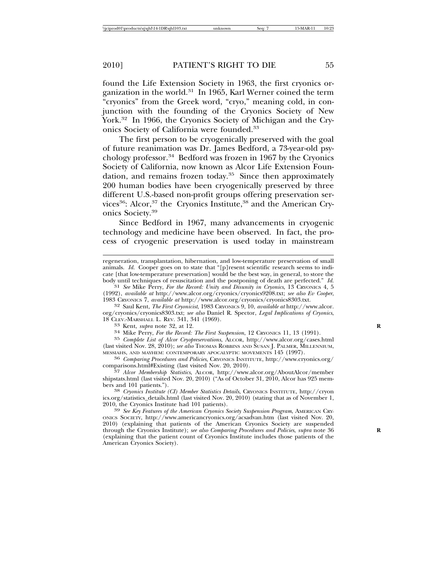found the Life Extension Society in 1963, the first cryonics organization in the world.<sup>31</sup> In 1965, Karl Werner coined the term "cryonics" from the Greek word, "cryo," meaning cold, in conjunction with the founding of the Cryonics Society of New York.<sup>32</sup> In 1966, the Cryonics Society of Michigan and the Cryonics Society of California were founded.<sup>33</sup>

The first person to be cryogenically preserved with the goal of future reanimation was Dr. James Bedford, a 73-year-old psychology professor.34 Bedford was frozen in 1967 by the Cryonics Society of California, now known as Alcor Life Extension Foundation, and remains frozen today.35 Since then approximately 200 human bodies have been cryogenically preserved by three different U.S.-based non-profit groups offering preservation services<sup>36</sup>: Alcor,<sup>37</sup> the Cryonics Institute,<sup>38</sup> and the American Cryonics Society.39

Since Bedford in 1967, many advancements in cryogenic technology and medicine have been observed. In fact, the process of cryogenic preservation is used today in mainstream

1983 CRYONICS 7, *available at* http://www.alcor.org/cryonics/cryonics8303.txt. <sup>32</sup> Saul Kent, *The First Cryonicist*, 1983 CRYONICS 9, 10, *available at* http://www.alcor. org/cryonics/cryonics8303.txt; *see also* Daniel R. Spector, *Legal Implications of Cryonics*,

<sup>33</sup> Kent, *supra* note 32, at 12.<br><sup>34</sup> Mike Perry, *For the Record: The First Suspension*, 12 Cronsics 11, 13 (1991).<br><sup>35</sup> Complete List of Alcor Cryopreservations, ALCOR, http://www.alcor.org/cases.html

(last visited Nov. 28, 2010); *see also* Thomas Robbins and Susan J. Palmer, Millennium, messiahs, and mayhem: contemporary apocalyptic movements 145 (1997).

 $^{36}$  *Comparing Procedures and Policies*, CRYONICS INSTITUTE, http://www.cryonics.org/ comparisons.html#Existing (last visited Nov. 20, 2010).

comparisons.html#Existing (last visited Nov. 20, 2010). <sup>37</sup> *Alcor Membership Statistics*, ALCOR, http://www.alcor.org/AboutAlcor/member shipstats.html (last visited Nov. 20, 2010) ("As of October 31, 2010, Alcor has 925 members and 101 patients."). <sup>38</sup> *Cryonics Institute (CI) Member Statistics Details*, CRYONICS INSTITUTE, http://cryon

ics.org/statistics\_details.html (last visited Nov. 20, 2010) (stating that as of November 1, 2010, the Cryonics Institute had 101 patients).

<sup>39</sup> See Key Features of the American Cryonics Society Suspension Program, AMERICAN CRY-ONICS SOCIETY, http://www.americancryonics.org/acsadvan.htm (last visited Nov. 20, 2010) (explaining that patients of the American Cryonics Society are suspended through the Cryonics Institute); *see also Comparing Procedures and Policies*, *supra* note 36 **R** (explaining that the patient count of Cryonics Institute includes those patients of the American Cryonics Society).

regeneration, transplantation, hibernation, and low-temperature preservation of small animals. *Id.* Cooper goes on to state that "[p]resent scientific research seems to indicate [that low-temperature preservation] would be the best way, in general, to store the body until techniques of resuscitation and the postponing of death are perfected." *Id.* <sup>31</sup> *See* Mike Perry, *For the Record: Unity and Disunity in Cryonics*, 13 CRYONICS 4, 5

<sup>(1992),</sup> *available at* http://www.alcor.org/cryonics/cryonics9208.txt; *see also Ev Cooper*,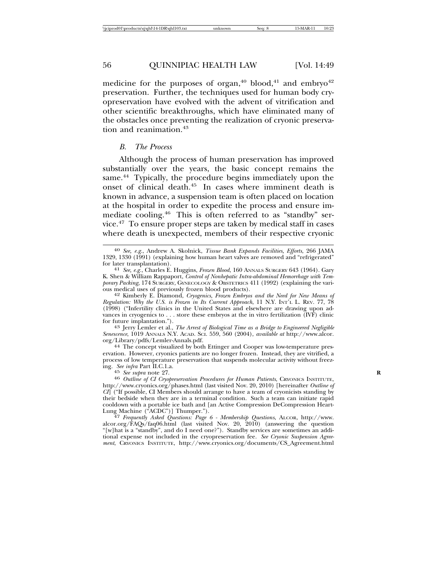medicine for the purposes of organ,<sup>40</sup> blood,<sup>41</sup> and embryo<sup>42</sup> preservation. Further, the techniques used for human body cryopreservation have evolved with the advent of vitrification and other scientific breakthroughs, which have eliminated many of the obstacles once preventing the realization of cryonic preservation and reanimation.<sup>43</sup>

#### *B. The Process*

Although the process of human preservation has improved substantially over the years, the basic concept remains the same.<sup>44</sup> Typically, the procedure begins immediately upon the onset of clinical death.45 In cases where imminent death is known in advance, a suspension team is often placed on location at the hospital in order to expedite the process and ensure immediate cooling.46 This is often referred to as "standby" service.47 To ensure proper steps are taken by medical staff in cases where death is unexpected, members of their respective cryonic

<sup>43</sup> Jerry Lemler et al., *The Arrest of Biological Time as a Bridge to Engineered Negligible Senescence*, 1019 ANNALS N.Y. ACAD. SCI. 559, 560 (2004), *available at* http://www.alcor.

<sup>44</sup> The concept visualized by both Ettinger and Cooper was low-temperature preservation. However, cryonics patients are no longer frozen. Instead, they are vitrified, a process of low temperature preservation that suspends molecular activity without freez-<br>ing. See infra Part II.C.1.a.

alcor.org/ $\hat{F}AQs/faq06.h$ tml (last visited Nov. 20, 2010) (answering the question "[w]hat is a "standby", and do I need one?"). Standby services are sometimes an additional expense not included in the cryopreservation fee. *See Cryonic Suspension Agreement*, CRYONICS INSTITUTE, http://www.cryonics.org/documents/CS\_Agreement.html

<sup>40</sup> *See, e.g.*, Andrew A. Skolnick, *Tissue Bank Expands Facilities, Efforts*, 266 JAMA 1329, 1330 (1991) (explaining how human heart valves are removed and "refrigerated"

for later transplantation). <sup>41</sup> *See, e.g.*, Charles E. Huggins, *Frozen Blood*, 160 ANNALS SURGERY 643 (1964). Gary K. Shen & William Rappaport, *Control of Nonhepatic Intra-abdominal Hemorrhage with Temporary Packing*, 174 SURGERY, GYNECOLOGY & OBSTETRICS 411 (1992) (explaining the various medical uses of previously frozen blood products). <sup>42</sup> Kimberly E. Diamond, *Cryogenics, Frozen Embryos and the Need for New Means of*

*Regulation: Why the U.S. is Frozen in Its Current Approach*, 11 N.Y. INT'L L. REV. 77, 78 (1998) ("Infertility clinics in the United States and elsewhere are drawing upon advances in cryogenics to . . . store these embryos at the in vitro fertilization (IVF) clinic<br>for future implantation.").

<sup>&</sup>lt;sup>45</sup> See supra note 27. *Roe supra* note 27. *Roe suprama Patients*, CRYONICS INSTITUTE, <sup>46</sup> *Outline of CI Cryopreservation Procedures for Human Patients*, CRYONICS INSTITUTE, http://www.cryonics.org/phases.html (last visited Nov. 20, 2010) [hereinafter *Outline of CI*] ("If possible, CI Members should arrange to have a team of cryonicists standing by their bedside when they are in a terminal condition. Such a team can initiate rapid cooldown with a portable ice bath and [an Active Compression DeCompression Heart-Lung Machine ("ACDC")] Thumper."). <sup>47</sup> *Frequently Asked Questions: Page 6 - Membership Questions*, ALCOR, http://www.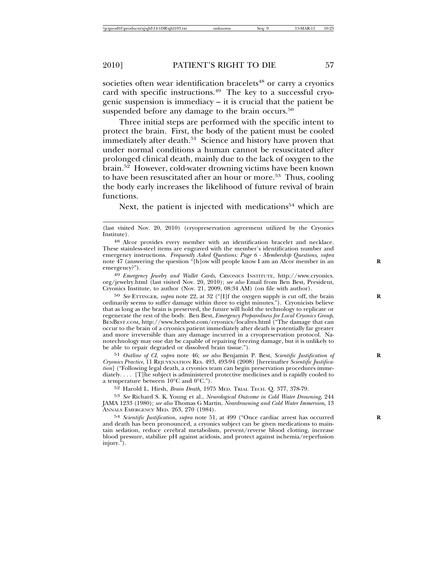societies often wear identification bracelets<sup>48</sup> or carry a cryonics card with specific instructions.<sup>49</sup> The key to a successful cryogenic suspension is immediacy – it is crucial that the patient be suspended before any damage to the brain occurs.<sup>50</sup>

Three initial steps are performed with the specific intent to protect the brain. First, the body of the patient must be cooled immediately after death.<sup>51</sup> Science and history have proven that under normal conditions a human cannot be resuscitated after prolonged clinical death, mainly due to the lack of oxygen to the brain.52 However, cold-water drowning victims have been known to have been resuscitated after an hour or more.<sup>53</sup> Thus, cooling the body early increases the likelihood of future revival of brain functions.

Next, the patient is injected with medications $54$  which are

49 *Emergency Jewelry and Wallet Cards*, CRYONICS INSTITUTE, http://www.cryonics. org/jewelry.html (last visited Nov. 20, 2010); *see also* Email from Ben Best, President, Cryonics Institute, to author (Nov. 21, 2009, 08:34 AM) (on file with author).

50 *See* ETTINGER, *supra* note 22, at 32 ("[I]f the oxygen supply is cut off, the brain **R** ordinarily seems to suffer damage within three to eight minutes."). Cryonicists believe that as long as the brain is preserved, the future will hold the technology to replicate or regenerate the rest of the body. Ben Best, *Emergency Preparedness for Local Cryonics Group*, BENBEST.COM, http://www.benbest.com/cryonics/localres.html ("The damage that can occur to the brain of a cryonics patient immediately after death is potentially far greater and more irreversible than any damage incurred in a cryopreservation protocol. Nanotechnology may one day be capable of repairing freezing damage, but it is unlikely to be able to repair degraded or dissolved brain tissue.").

51 *Outline of CI*, *supra* note 46; *see also* Benjamin P. Best, *Scientific Justification of* **R** *Cryonics Practice*, 11 REJUVENATION RES. 493, 493-94 (2008) [hereinafter *Scientific Justification*] ("Following legal death, a cryonics team can begin preservation procedures immediately. . . . [T]he subject is administered protective medicines and is rapidly cooled to a temperature between 10°C and 0°C.").

52 Harold L. Hirsh, *Brain Death*, 1975 MED. TRIAL TECH. Q. 377, 378-79.

53 *See* Richard S. K. Young et al., *Neurological Outcome in Cold Water Drowning*, 244 JAMA 1233 (1980); *see also* Thomas G Martin, *Neardrowning and Cold Water Immersion*, 13 ANNALS EMERGENCY MED. 263, 270 (1984).

54 *Scientific Justification*, *supra* note 51, at 499 ("Once cardiac arrest has occurred **R** and death has been pronounced, a cryonics subject can be given medications to maintain sedation, reduce cerebral metabolism, prevent/reverse blood clotting, increase blood pressure, stabilize pH against acidosis, and protect against ischemia/reperfusion injury.").

<sup>(</sup>last visited Nov. 20, 2010) (cryopreservation agreement utilized by the Cryonics Institute).

<sup>48</sup> Alcor provides every member with an identification bracelet and necklace. These stainless-steel items are engraved with the member's identification number and emergency instructions. *Frequently Asked Questions: Page 6 - Membership Questions*, *supra* note 47 (answering the question "[h]ow will people know I am an Alcor member in an **R** emergency?").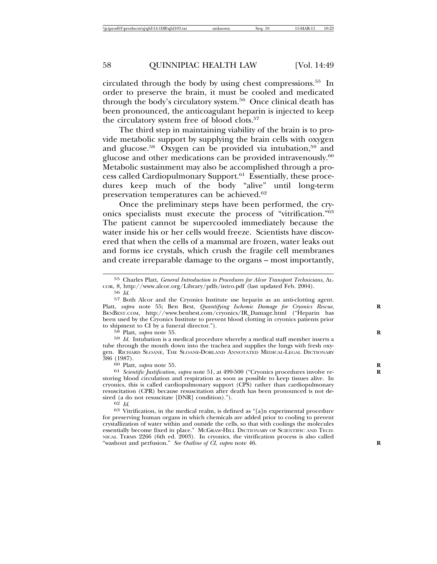circulated through the body by using chest compressions.55 In order to preserve the brain, it must be cooled and medicated through the body's circulatory system.56 Once clinical death has been pronounced, the anticoagulant heparin is injected to keep the circulatory system free of blood clots.<sup>57</sup>

The third step in maintaining viability of the brain is to provide metabolic support by supplying the brain cells with oxygen and glucose.<sup>58</sup> Oxygen can be provided via intubation,<sup>59</sup> and glucose and other medications can be provided intravenously.60 Metabolic sustainment may also be accomplished through a process called Cardiopulmonary Support.<sup>61</sup> Essentially, these procedures keep much of the body "alive" until long-term preservation temperatures can be achieved.<sup>62</sup>

Once the preliminary steps have been performed, the cryonics specialists must execute the process of "vitrification."63 The patient cannot be supercooled immediately because the water inside his or her cells would freeze. Scientists have discovered that when the cells of a mammal are frozen, water leaks out and forms ice crystals, which crush the fragile cell membranes and create irreparable damage to the organs – most importantly,

58 Platt, *supra* note 55.<br><sup>59</sup> *Id.* Intubation is a medical procedure whereby a medical staff member inserts a tube through the mouth down into the trachea and supplies the lungs with fresh oxygen. RICHARD SLOANE, THE SLOANE-DORLAND ANNOTATED MEDICAL-LEGAL DICTIONARY 386 (1987).

386 (1987). <sup>60</sup> Platt, *supra* note 55. **<sup>R</sup>** <sup>61</sup> *Scientific Justification*, *supra* note 51, at 499-500 ("Cryonics procedures involve re- **<sup>R</sup>** storing blood circulation and respiration as soon as possible to keep tissues alive. In cryonics, this is called cardiopulmonary support (CPS) rather than cardiopulmonary resuscitation (CPR) because resuscitation after death has been pronounced is not de-<br>sired (a do not resuscitate [DNR] condition).").

 $\frac{62}{10}$  *Id.* ( $\frac{62}{10}$  *Id.* 63 Vitrification, in the medical realm, is defined as "[a]n experimental procedure for preserving human organs in which chemicals are added prior to cooling to prevent crystallization of water within and outside the cells, so that with coolings the molecules essentially become fixed in place." MCGRAW-HILL DICTIONARY OF SCIENTIFIC AND TECH-NICAL TERMS 2266 (6th ed. 2003). In cryonics, the vitrification process is also called "washout and perfusion." *See Outline of CI*, *supra* note 46.

<sup>55</sup> Charles Platt, *General Introduction to Procedures for Alcor Transport Technicians*, ALcor, 8, http://www.alcor.org/Library/pdfs/intro.pdf (last updated Feb. 2004).<br>56  $\,$  Id.

<sup>&</sup>lt;sup>57</sup> Both Alcor and the Cryonics Institute use heparin as an anti-clotting agent. Platt, *supra* note 55; Ben Best, *Quantifying Ischemic Damage for Cryonics Rescue*, BENBEST.COM, http://www.benbest.com/cryonics/IR\_Damage.html ("Heparin has been used by the Cryonics Institute to prevent blood clotting in cryonics patients prior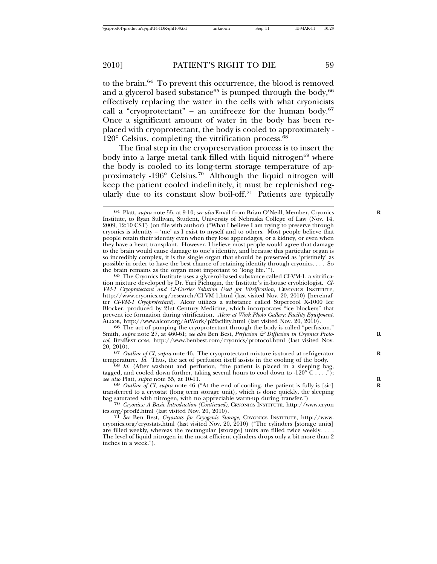to the brain.64 To prevent this occurrence, the blood is removed and a glycerol based substance<sup>65</sup> is pumped through the body,  $66$ effectively replacing the water in the cells with what cryonicists call a "cryoprotectant" – an antifreeze for the human body. $67$ Once a significant amount of water in the body has been replaced with cryoprotectant, the body is cooled to approximately -  $120^{\circ}$  Celsius, completing the vitrification process.<sup>68</sup>

The final step in the cryopreservation process is to insert the body into a large metal tank filled with liquid nitrogen $69$  where the body is cooled to its long-term storage temperature of approximately -196° Celsius.70 Although the liquid nitrogen will keep the patient cooled indefinitely, it must be replenished regularly due to its constant slow boil-off.<sup>71</sup> Patients are typically

 $66$  The act of pumping the cryoprotectant through the body is called "perfusion." Smith, *supra* note 27, at 460-61; *see also* Ben Best, *Perfusion & Diffusion in Cryonics Protocol*, BENBEST.COM, http://www.benbest.com/cryonics/protocol.html (last visited Nov. 20, 2010).

<sup>67</sup> *Outline of CI*, *supra* note 46. The cryoprotectant mixture is stored at refrigerator temperature. Id. Thus, the act of perfusion itself assists in the cooling of the body.

<sup>68</sup> Id. (After washout and perfusion, "the patient is placed in a sleeping bag, tagged, and cooled down further, taking several hours to cool down to -120<sup>°</sup> C . . . ."); *see also* Platt, *supra* note 55, at 10-11.

<sup>69</sup> *Outline of CI*, *supra* note 46 ("At the end of cooling, the patient is fully is [sic] transferred to a cryostat (long term storage unit), which is done quickly, the sleeping bag saturated with nitrogen, with no appreciable warm-up during transfer.")

<sup>70</sup> Cryonics: A Basic Introduction (Continued), CRYONICS INSTITUTE, http://www.cryon<br>ics.org/prod2.html (last visited Nov. 20, 2010).

<sup>71</sup> See Ben Best, *Cryostats for Cryogenic Storage*, CRYONICS INSTITUTE, http://www. cryonics.org/cryostats.html (last visited Nov. 20, 2010) ("The cylinders [storage units] are filled weekly, whereas the rectangular [storage] units are filled twice weekly. . . . The level of liquid nitrogen in the most efficient cylinders drops only a bit more than 2 inches in a week.").

<sup>64</sup> Platt, *supra* note 55, at 9-10; *see also* Email from Brian O'Neill, Member, Cryonics **R** Institute, to Ryan Sullivan, Student, University of Nebraska College of Law (Nov. 14, 2009, 12:10 CST) (on file with author) ("What I believe I am trying to preserve through cryonics is identity – 'me' as I exist to myself and to others. Most people believe that people retain their identity even when they lose appendages, or a kidney, or even when they have a heart transplant. However, I believe most people would agree that damage to the brain would cause damage to one's identity, and because this particular organ is so incredibly complex, it is the single organ that should be preserved as 'pristinely' as possible in order to have the best chance of retaining identity through cryonics. . . . So the brain remains as the organ most important to 'long life.'").

<sup>65</sup> The Cryonics Institute uses a glycerol-based substance called CI-VM-1, a vitrification mixture developed by Dr. Yuri Pichugin, the Institute's in-house cryobiologist. *CI-VM-1 Cryoprotectant and CI-Carrier Solution Used for Vitrification*, CRYONICS INSTITUTE, http://www.cryonics.org/research/CI-VM-1.html (last visited Nov. 20, 2010) [hereinafter *CI-VM-1 Cryoprotectant*]. Alcor utilizes a substance called Supercool X-1000 Ice Blocker, produced by 21st Century Medicine, which incorporates "ice blockers" that prevent ice formation during vitrification. *Alcor at Work Photo Gallery: Facility Equipment*,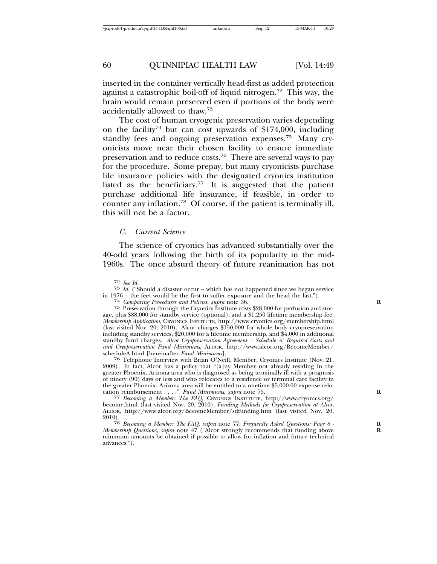inserted in the container vertically head-first as added protection against a catastrophic boil-off of liquid nitrogen.72 This way, the brain would remain preserved even if portions of the body were accidentally allowed to thaw.73

The cost of human cryogenic preservation varies depending on the facility<sup>74</sup> but can cost upwards of \$174,000, including standby fees and ongoing preservation expenses.<sup>75</sup> Many cryonicists move near their chosen facility to ensure immediate preservation and to reduce costs.76 There are several ways to pay for the procedure. Some prepay, but many cryonicists purchase life insurance policies with the designated cryonics institution listed as the beneficiary.<sup>77</sup> It is suggested that the patient purchase additional life insurance, if feasible, in order to counter any inflation.78 Of course, if the patient is terminally ill, this will not be a factor.

### *C. Current Science*

The science of cryonics has advanced substantially over the 40-odd years following the birth of its popularity in the mid-1960s. The once absurd theory of future reanimation has not

<sup>72</sup> *See Id.* <sup>73</sup> *Id.* ("Should a disaster occur – which has not happened since we began service

<sup>76</sup> Telephone Interview with Brian O'Neill, Member, Cryonics Institute (Nov. 21, 2009). In fact, Alcor has a policy that "[a]ny Member not already residing in the greater Phoenix, Arizona area who is diagnosed as being terminally ill with a prognosis of ninety (90) days or less and who relocates to a residence or terminal care facility in the greater Phoenix, Arizona area will be entitled to a onetime \$5,000.00 expense relo-

<sup>&</sup>lt;sup>74</sup> Comparing Procedures and Policies, supra note 36.<br><sup>75</sup> Preservation through the Cryonics Institute costs \$28,000 for perfusion and storage, plus \$88,000 for standby service (optional), and a \$1,250 lifetime membership fee. *Membership Application*, CRYONICS INSTITUTE, http://www.cryonics.org/membership.html (last visited Nov. 20, 2010). Alcor charges \$150,000 for whole body cryopreservation including standby services, \$20,000 for a lifetime membership, and \$4,000 in additional standby fund charges. *Alcor Cryopreservation Agreement – Schedule A: Required Costs and and Cryopreservation Fund Minimums*, ALCOR, http://www.alcor.org/BecomeMember/

cation reimbursement . . . ." *Fund Minimums, supra* note 75.<br><sup>77</sup> *Becoming a Member: The FAQ, CRYONICS INSTITUTE, http://www.cryonics.org/* become.html (last visited Nov. 20, 2010); *Funding Methods for Cryopreservation at Alcor*, ALCOR, http://www.alcor.org/BecomeMember/sdfunding.htm (last visited Nov. 20,

<sup>2010).</sup> <sup>78</sup> *Becoming a Member: The FAQ*, *supra* note 77; *Frequently Asked Questions: Page 6 -* **<sup>R</sup>** *Membership Questions, supra* note 47 ("Alcor strongly recommends that funding above minimum amounts be obtained if possible to allow for inflation and future technical advances.").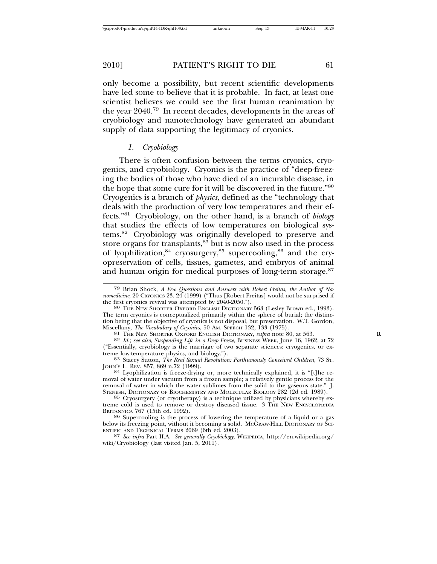only become a possibility, but recent scientific developments have led some to believe that it is probable. In fact, at least one scientist believes we could see the first human reanimation by the year 2040.79 In recent decades, developments in the areas of cryobiology and nanotechnology have generated an abundant supply of data supporting the legitimacy of cryonics.

#### *1. Cryobiology*

There is often confusion between the terms cryonics, cryogenics, and cryobiology. Cryonics is the practice of "deep-freezing the bodies of those who have died of an incurable disease, in the hope that some cure for it will be discovered in the future."80 Cryogenics is a branch of *physics*, defined as the "technology that deals with the production of very low temperatures and their effects."81 Cryobiology, on the other hand, is a branch of *biology* that studies the effects of low temperatures on biological systems.82 Cryobiology was originally developed to preserve and store organs for transplants, $83$  but is now also used in the process of lyophilization,<sup>84</sup> cryosurgery,<sup>85</sup> supercooling,<sup>86</sup> and the cryopreservation of cells, tissues, gametes, and embryos of animal and human origin for medical purposes of long-term storage.<sup>87</sup>

<sup>79</sup> Brian Shock, *A Few Questions and Answers with Robert Freitas, the Author of Nanomedicine*, 20 CRYONICS 23, 24 (1999) ("Thus [Robert Freitas] would not be surprised if the first cryonics revival was attempted by 2040-2050.").

<sup>&</sup>lt;sup>80</sup> THE NEW SHORTER OXFORD ENGLISH DICTIONARY 563 (Lesley Brown ed., 1993). The term cryonics is conceptualized primarily within the sphere of burial; the distinction being that the objective of cryonics is not disposal, but preservation. W.T. Gordon, Miscellany, The Vocabulary of Cryonics, 50 AM. SPEECH 132, 133 (1975).

<sup>&</sup>lt;sup>81</sup> THE NEW SHORTER OXFORD ENGLISH DICTIONARY, *supra* note 80, at 563.<br><sup>82</sup> Id.; see also, Suspending Life in a Deep Freeze, BUSINESS WEEK, June 16, 1962, at 72

<sup>(&</sup>quot;Essentially, cryobiology is the marriage of two separate sciences: cryogenics, or ex-

<sup>&</sup>lt;sup>83</sup> Stacey Sutton, *The Real Sexual Revolution: Posthumously Conceived Children*, 73 St. JOHN's L. REV. 857, 869 n.72 (1999).

<sup>84</sup> Lyophilization is freeze-drying or, more technically explained, it is "[t]he removal of water under vacuum from a frozen sample; a relatively gentle process for the removal of water in which the water sublimes from the solid to the gaseous state." J.<br>STENESH, DICTIONARY OF BIOCHEMISTRY AND MOLECULAR BIOLOGY 282 (2d ed. 1989).

 $85$  Cryosurgery (or cryotherapy) is a technique utilized by physicians whereby extreme cold is used to remove or destroy diseased tissue. 3 THE NEW ENCYCLOPæDIA BRITANNICA 767 (15th ed. 1992).

<sup>86</sup> Supercooling is the process of lowering the temperature of a liquid or a gas below its freezing point, without it becoming a solid. McGRAW-HILL DICTIONARY OF SCIENTIFIC AND TECHNICAL TERMS 2069 (6th ed. 2003).

<sup>&</sup>lt;sup>87</sup> *See infra* Part II.A. *See generally Cryobiology*, WIKIPEDIA, http://en.wikipedia.org/ wiki/Cryobiology (last visited  $\tilde{a}$ n. 5, 2011).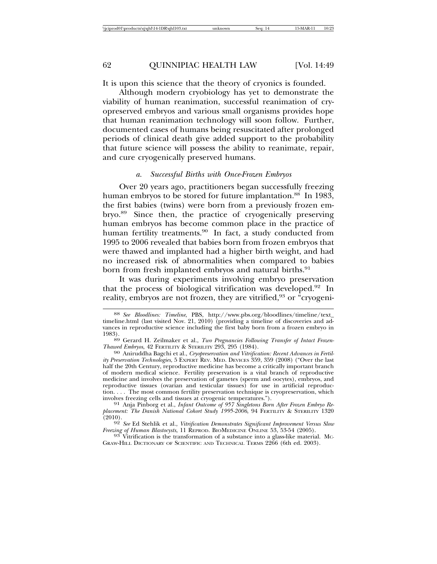It is upon this science that the theory of cryonics is founded.

Although modern cryobiology has yet to demonstrate the viability of human reanimation, successful reanimation of cryopreserved embryos and various small organisms provides hope that human reanimation technology will soon follow. Further, documented cases of humans being resuscitated after prolonged periods of clinical death give added support to the probability that future science will possess the ability to reanimate, repair, and cure cryogenically preserved humans.

# *a. Successful Births with Once-Frozen Embryos*

Over 20 years ago, practitioners began successfully freezing human embryos to be stored for future implantation.<sup>88</sup> In 1983, the first babies (twins) were born from a previously frozen embryo.89 Since then, the practice of cryogenically preserving human embryos has become common place in the practice of human fertility treatments.<sup>90</sup> In fact, a study conducted from 1995 to 2006 revealed that babies born from frozen embryos that were thawed and implanted had a higher birth weight, and had no increased risk of abnormalities when compared to babies born from fresh implanted embryos and natural births.<sup>91</sup>

It was during experiments involving embryo preservation that the process of biological vitrification was developed.<sup>92</sup> In reality, embryos are not frozen, they are vitrified,<sup>93</sup> or "cryogeni-

<sup>88</sup> *See Bloodlines: Timeline*, PBS, http://www.pbs.org/bloodlines/timeline/text\_ timeline.html (last visited Nov. 21, 2010) (providing a timeline of discoveries and advances in reproductive science including the first baby born from a frozen embryo in

<sup>&</sup>lt;sup>89</sup> Gerard H. Zeilmaker et al., *Two Pregnancies Following Transfer of Intact Frozen-Thawed Embryos*, 42 FERTILITY & STERILITY 293, 295 (1984).

<sup>&</sup>lt;sup>90</sup> Aniruddha Bagchi et al., *Cryopreservation and Vitrification: Recent Advances in Fertility Preservation Technologies*, 5 EXPERT REV. MED. DEVICES 359, 359 (2008) ("Over the last half the 20th Century, reproductive medicine has become a critically important branch of modern medical science. Fertility preservation is a vital branch of reproductive medicine and involves the preservation of gametes (sperm and oocytes), embryos, and reproductive tissues (ovarian and testicular tissues) for use in artificial reproduction. . . . The most common fertility preservation technique is cryopreservation, which involves freezing cells and tissues at cryogenic temperatures.").

<sup>&</sup>lt;sup>91</sup> Anja Pinborg et al., *Infant Outcome of 957 Singletons Born After Frozen Embryo Re*placement: The Danish National Cohort Study 1995-2006, 94 FERTILITY & STERILITY 1320<br>(2010).

<sup>&</sup>lt;sup>92</sup> *See* Ed Stehlik et al., *Vitrification Demonstrates Significant Improvement Versus Slow Freezing of Human Blastocysts*, 11 REPROD. BIOMEDICINE ONLINE 53, 53-54 (2005).

<sup>&</sup>lt;sup>93</sup> Vitrification is the transformation of a substance into a glass-like material. Mc-GRAW-HILL DICTIONARY OF SCIENTIFIC AND TECHNICAL TERMS 2266 (6th ed. 2003).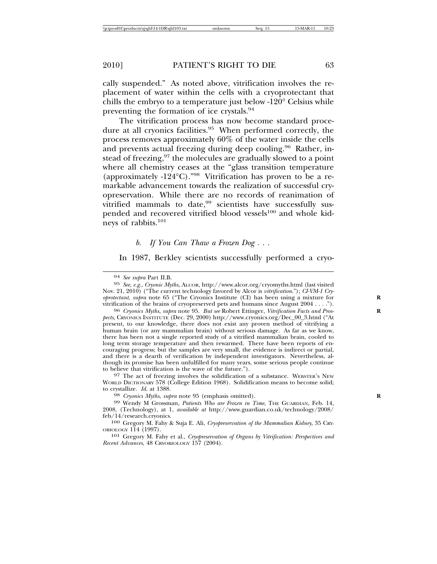cally suspended." As noted above, vitrification involves the replacement of water within the cells with a cryoprotectant that chills the embryo to a temperature just below -120° Celsius while preventing the formation of ice crystals.94

The vitrification process has now become standard procedure at all cryonics facilities.<sup>95</sup> When performed correctly, the process removes approximately 60% of the water inside the cells and prevents actual freezing during deep cooling.<sup>96</sup> Rather, instead of freezing,<sup>97</sup> the molecules are gradually slowed to a point where all chemistry ceases at the "glass transition temperature (approximately -124°C)."98 Vitrification has proven to be a remarkable advancement towards the realization of successful cryopreservation. While there are no records of reanimation of vitrified mammals to date, $99$  scientists have successfully suspended and recovered vitrified blood vessels<sup>100</sup> and whole kidneys of rabbits.<sup>101</sup>

#### *b. If You Can Thaw a Frozen Dog . . .*

In 1987, Berkley scientists successfully performed a cryo-

<sup>97</sup> The act of freezing involves the solidification of a substance. WEBSTER's NEW WORLD DICTIONARY 578 (College Edition 1968). Solidification means to become solid; to crystallize.  $Id.$  at 1388.

<sup>98</sup> *Cryonics Myths, supra* note 95 (emphasis omitted).

99 Wendy M Grossman, *Patients Who are Frozen in Time*, THE GUARDIAN, Feb. 14, 2008, (Technology), at 1, *available at* http://www.guardian.co.uk/technology/2008/

<sup>100</sup> Gregory M. Fahy & Suja E. Ali, *Cryopreservation of the Mammalian Kidney*, 35 CRY-OBIOLOGY 114 (1997).

<sup>101</sup> Gregory M. Fahy et al., *Cryopreservation of Organs by Vitrification: Perspectives and Recent Advances*, 48 CRYOBIOLOGY 157 (2004).

<sup>94</sup> *See supra* Part II.B. <sup>95</sup> *See, e.g.*, *Cryonic Myths*, ALCOR, http://www.alcor.org/cryomyths.html (last visited Nov. 21, 2010) ("The current technology favored by Alcor is *vitrification*."); *CI-VM-1 Cryoprotectant, supra* note 65 ("The Cryonics Institute (CI) has been using a mixture for vitrification of the brains of cryopreserved pets and humans since August 2004 . . . .").

<sup>&</sup>lt;sup>96</sup> Cryonics Myths, *supra* note 95. *But see* Robert Ettinger, *Vitrification Facts and Prospects*, CRYONICS INSTITUTE (Dec. 29, 2000) http://www.cryonics.org/Dec\_00\_3.html ("At present, to our knowledge, there does not exist any proven method of vitrifying a human brain (or any mammalian brain) without serious damage. As far as we know, there has been not a single reported study of a vitrified mammalian brain, cooled to long term storage temperature and then rewarmed. There have been reports of encouraging progress; but the samples are very small, the evidence is indirect or partial, and there is a dearth of verification by independent investigators. Nevertheless, although its promise has been unfulfilled for many years, some serious people continue to believe that vitrification is the wave of the future.").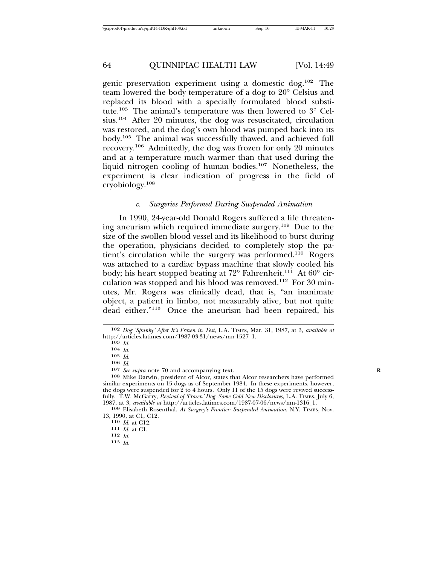genic preservation experiment using a domestic dog.102 The team lowered the body temperature of a dog to 20° Celsius and replaced its blood with a specially formulated blood substitute.103 The animal's temperature was then lowered to 3° Celsius.104 After 20 minutes, the dog was resuscitated, circulation was restored, and the dog's own blood was pumped back into its body.105 The animal was successfully thawed, and achieved full recovery.106 Admittedly, the dog was frozen for only 20 minutes and at a temperature much warmer than that used during the liquid nitrogen cooling of human bodies.107 Nonetheless, the experiment is clear indication of progress in the field of cryobiology.<sup>108</sup>

#### *c. Surgeries Performed During Suspended Animation*

In 1990, 24-year-old Donald Rogers suffered a life threatening aneurism which required immediate surgery.109 Due to the size of the swollen blood vessel and its likelihood to burst during the operation, physicians decided to completely stop the patient's circulation while the surgery was performed.<sup>110</sup> Rogers was attached to a cardiac bypass machine that slowly cooled his body; his heart stopped beating at  $72^{\circ}$  Fahrenheit.<sup>111</sup> At  $60^{\circ}$  circulation was stopped and his blood was removed.<sup>112</sup> For 30 minutes, Mr. Rogers was clinically dead, that is, "an inanimate object, a patient in limbo, not measurably alive, but not quite dead either."113 Once the aneurism had been repaired, his

109 Elisabeth Rosenthal, *At Surgery's Frontier: Suspended Animation*, N.Y. TIMES, Nov. 13, 1990, at C1, C12. <sup>110</sup> *Id.* at C12. <sup>111</sup> *Id.* at C1. <sup>112</sup> *Id.* <sup>113</sup> *Id.*

<sup>102</sup> *Dog 'Spunky' After It's Frozen in Test*, L.A. TIMES, Mar. 31, 1987, at 3, *available at*

<sup>103</sup> *Id.*<br>
104 *Id.*<br>
105 *Id.*<br>
106 *Id.*<br>
106 *Id.*<br>
107 *See supra* note 70 and accompanying text.<br>
107 *See supra* note 70 and accompanying text.<br>
108 Mike Darwin, president of Alcor, states that Alcor researchers hav similar experiments on 15 dogs as of September 1984. In these experiments, however, the dogs were suspended for 2 to 4 hours. Only 11 of the 15 dogs were revived successfully. T.W. McGarry, *Revival of 'Frozen' Dog–Some Cold New Disclosures*, L.A. TIMES, July 6, 1987, at 3, *available at http://articles.latimes.com/1987-07-06/news/mn-1316\_1*.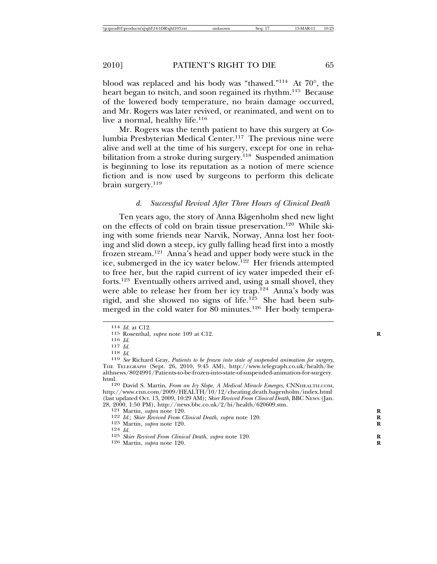blood was replaced and his body was "thawed."114 At 70°, the heart began to twitch, and soon regained its rhythm.<sup>115</sup> Because of the lowered body temperature, no brain damage occurred, and Mr. Rogers was later revived, or reanimated, and went on to live a normal, healthy life. $116$ 

Mr. Rogers was the tenth patient to have this surgery at Columbia Presbyterian Medical Center.117 The previous nine were alive and well at the time of his surgery, except for one in rehabilitation from a stroke during surgery.<sup>118</sup> Suspended animation is beginning to lose its reputation as a notion of mere science fiction and is now used by surgeons to perform this delicate brain surgery. $119$ 

#### *d. Successful Revival After Three Hours of Clinical Death*

Ten years ago, the story of Anna Bågenholm shed new light on the effects of cold on brain tissue preservation.<sup>120</sup> While skiing with some friends near Narvik, Norway, Anna lost her footing and slid down a steep, icy gully falling head first into a mostly frozen stream.121 Anna's head and upper body were stuck in the ice, submerged in the icy water below.<sup>122</sup> Her friends attempted to free her, but the rapid current of icy water impeded their efforts.123 Eventually others arrived and, using a small shovel, they were able to release her from her icy trap.<sup>124</sup> Anna's body was rigid, and she showed no signs of life.<sup>125</sup> She had been submerged in the cold water for 80 minutes.<sup>126</sup> Her body tempera-

<sup>&</sup>lt;sup>114</sup> *Id.* at C12.<br>
<sup>115</sup> Rosenthal, *supra* note 109 at C12.<br>
<sup>116</sup> *Id.*<br>
<sup>117</sup> *Id.*<br>
<sup>118</sup> *Id.*<br>
<sup>119</sup> *See* Richard Gray, *Patients to be frozen into state of suspended animation for surgery*, THE TELEGRAPH (Sept. 26, 2010, 9:45 AM), http://www.telegraph.co.uk/health/he althnews/8024991/Patients-to-be-frozen-into-state-of-suspended-animation-for-surgery.

html. <sup>120</sup> David S. Martin, *From an Icy Slope, A Medical Miracle Emerges*, CNNHEALTH.COM, http://www.cnn.com/2009/HEALTH/10/12/cheating.death.bagenholm/index.html (last updated Oct. 13, 2009, 10:29 AM); *Skier Revived From Clinical Death*, BBC NEWS (Jan. 28, 2000, 1:50 PM), http://news.bbc.co.uk/2/hi/health/620609.stm.<br>
<sup>121</sup> Martin, *supra* note 120.<br>
<sup>122</sup> *Id.*; *Skier Revived From Clinical Death, supra* note 120.<br>
<sup>123</sup> Martin, *supra* note 120.<br>
<sup>124</sup> *Id.*<br>
<sup>125</sup> *S*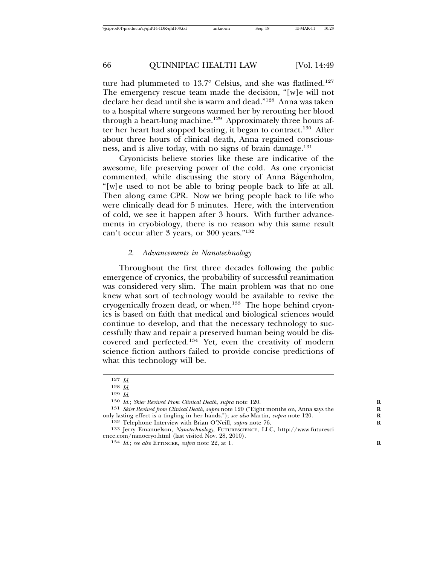ture had plummeted to 13.7° Celsius, and she was flatlined.<sup>127</sup> The emergency rescue team made the decision, "[w]e will not declare her dead until she is warm and dead."128 Anna was taken to a hospital where surgeons warmed her by rerouting her blood through a heart-lung machine.<sup>129</sup> Approximately three hours after her heart had stopped beating, it began to contract.<sup>130</sup> After about three hours of clinical death, Anna regained consciousness, and is alive today, with no signs of brain damage.<sup>131</sup>

Cryonicists believe stories like these are indicative of the awesome, life preserving power of the cold. As one cryonicist commented, while discussing the story of Anna Bågenholm, "[w]e used to not be able to bring people back to life at all. Then along came CPR. Now we bring people back to life who were clinically dead for 5 minutes. Here, with the intervention of cold, we see it happen after 3 hours. With further advancements in cryobiology, there is no reason why this same result can't occur after 3 years, or 300 years."132

#### *2. Advancements in Nanotechnology*

Throughout the first three decades following the public emergence of cryonics, the probability of successful reanimation was considered very slim. The main problem was that no one knew what sort of technology would be available to revive the cryogenically frozen dead, or when.<sup>133</sup> The hope behind cryonics is based on faith that medical and biological sciences would continue to develop, and that the necessary technology to successfully thaw and repair a preserved human being would be discovered and perfected.134 Yet, even the creativity of modern science fiction authors failed to provide concise predictions of what this technology will be.

<sup>127</sup> *Id.* <sup>128</sup> *Id*. <sup>129</sup> *Id.* <sup>130</sup> *Id.*; *Skier Revived From Clinical Death*, *supra* note 120. **<sup>R</sup>**

<sup>&</sup>lt;sup>131</sup> *Skier Revived from Clinical Death, supra* note 120 ("Eight months on, Anna says the only lasting effect is a tingling in her hands."); *see also* Martin, *supra* note 120.

<sup>&</sup>lt;sup>132</sup> Telephone Interview with Brian O'Neill, *supra* note 76.<br><sup>133</sup> Jerry Emanuelson, *Nanotechnolog*y, FUTURESCIENCE, LLC, http://www.futuresci ence.com/nanocryo.html (last visited Nov. 28, 2010).<br><sup>134</sup> *Id.*; *see also* ETTINGER, *supra* note 22, at 1.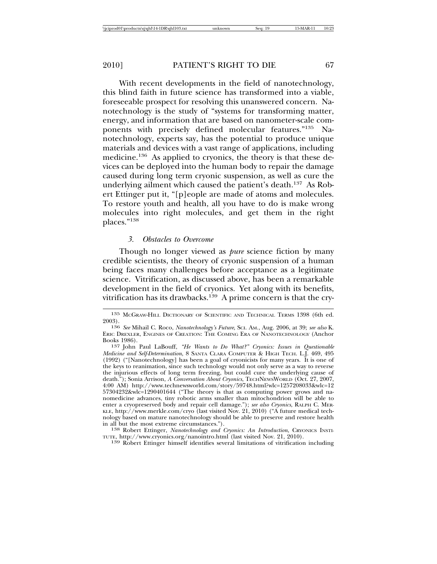With recent developments in the field of nanotechnology, this blind faith in future science has transformed into a viable, foreseeable prospect for resolving this unanswered concern. Nanotechnology is the study of "systems for transforming matter, energy, and information that are based on nanometer-scale components with precisely defined molecular features."135 Nanotechnology, experts say, has the potential to produce unique materials and devices with a vast range of applications, including medicine.<sup>136</sup> As applied to cryonics, the theory is that these devices can be deployed into the human body to repair the damage caused during long term cryonic suspension, as well as cure the underlying ailment which caused the patient's death.137 As Robert Ettinger put it, "[p]eople are made of atoms and molecules. To restore youth and health, all you have to do is make wrong molecules into right molecules, and get them in the right places."<sup>138</sup>

#### *3. Obstacles to Overcome*

Though no longer viewed as *pure* science fiction by many credible scientists, the theory of cryonic suspension of a human being faces many challenges before acceptance as a legitimate science. Vitrification, as discussed above, has been a remarkable development in the field of cryonics. Yet along with its benefits, vitrification has its drawbacks.<sup>139</sup> A prime concern is that the cry-

<sup>135</sup> MCGRAW-HILL DICTIONARY OF SCIENTIFIC AND TECHNICAL TERMS 1398 (6th ed.

<sup>2003).</sup> <sup>136</sup> *See* Mihail C. Roco, *Nanotechnology's Future*, SCI. AM., Aug. 2006, at 39; *see also* K. ERIC DREXLER, ENGINES OF CREATION: THE COMING ERA OF NANOTECHNOLOGY (Anchor

<sup>&</sup>lt;sup>137</sup> John Paul LaBouff, "He Wants to Do What?" Cryonics: Issues in Questionable *Medicine and Self-Determination*, 8 SANTA CLARA COMPUTER & HIGH TECH. L.J. 469, 495 (1992) ("[Nanotechnology] has been a goal of cryonicists for many years. It is one of the keys to reanimation, since such technology would not only serve as a way to reverse the injurious effects of long term freezing, but could cure the underlying cause of death."); Sonia Arrison, *A Conversation About Cryonics*, TECHNEWSWORLD (Oct. 27, 2007, 4:00 AM) http://www.technewsworld.com/story/59748.html?wlc=1257208033&wlc=12 57304232&wlc=1290401644 ("The theory is that as computing power grows and nanomedicine advances, tiny robotic arms smaller than mitochondrion will be able to enter a cryopreserved body and repair cell damage."); *see also Cryonics*, RALPH C. MER-KLE, http://www.merkle.com/cryo (last visited Nov. 21, 2010) ("A future medical technology based on mature nanotechnology should be able to preserve and restore health in all but the most extreme circumstances.").

<sup>138</sup> Robert Ettinger, *Nanotechnology and Cryonics: An Introduction*, CRYONICS INSTI-TUTE, http://www.cryonics.org/nanointro.html (last visited Nov. 21, 2010).

<sup>139</sup> Robert Ettinger himself identifies several limitations of vitrification including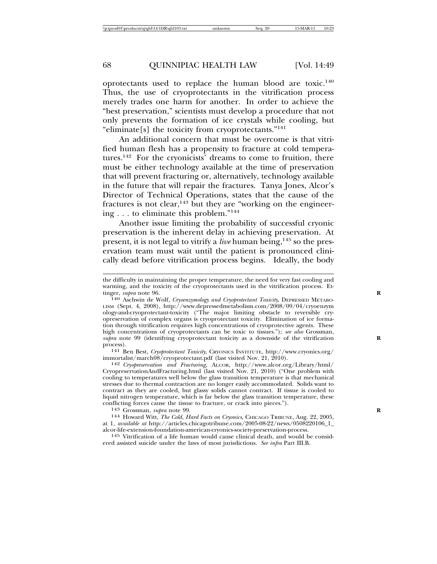oprotectants used to replace the human blood are toxic.140 Thus, the use of cryoprotectants in the vitrification process merely trades one harm for another. In order to achieve the "best preservation," scientists must develop a procedure that not only prevents the formation of ice crystals while cooling, but "eliminate[s] the toxicity from cryoprotectants."141

An additional concern that must be overcome is that vitrified human flesh has a propensity to fracture at cold temperatures.142 For the cryonicists' dreams to come to fruition, there must be either technology available at the time of preservation that will prevent fracturing or, alternatively, technology available in the future that will repair the fractures. Tanya Jones, Alcor's Director of Technical Operations, states that the cause of the fractures is not clear,<sup>143</sup> but they are "working on the engineering . . . to eliminate this problem."144

Another issue limiting the probability of successful cryonic preservation is the inherent delay in achieving preservation. At present, it is not legal to vitrify a *live* human being,<sup>145</sup> so the preservation team must wait until the patient is pronounced clinically dead before vitrification process begins. Ideally, the body

<sup>141</sup> Ben Best, *Cryoprotectant Toxicity*, CRYONICS INSTITUTE, http://www.cryonics.org/<br>immortalist/march08/cryoprotectant.pdf (last visited Nov. 21, 2010).

immortalist/march08/cryoprotectant.pdf (last visited Nov. 21, 2010). <sup>142</sup> *Cryopreservation and Fracturing*, ALCOR, http://www.alcor.org/Library/html/ CryopreservationAndFracturing.html (last visited Nov. 21, 2010) ("One problem with cooling to temperatures well below the glass transition temperature is that mechanical stresses due to thermal contraction are no longer easily accommodated. Solids want to contract as they are cooled, but glassy solids cannot contract. If tissue is cooled to liquid nitrogen temperature, which is far below the glass transition temperature, these conflicting forces cause the tissue to fracture, or crack into pieces.").

<sup>143</sup> Grossman, *supra* note 99.<br><sup>144</sup> Howard Witt, *The Cold, Hard Facts on Cryonics*, CHICAGO TRIBUNE, Aug. 22, 2005, at 1, *available at* http://articles.chicagotribune.com/2005-08-22/news/0508220106\_1\_

 $145$  Vitrification of a life human would cause clinical death, and would be considered assisted suicide under the laws of most jurisdictions. *See infra* Part III.B.

the difficulty in maintaining the proper temperature, the need for very fast cooling and warming, and the toxicity of the cryoprotectants used in the vitrification process. Ettinger, *supra* note 96.

<sup>140</sup> Aschwin de Wolf, *Cryoenzymology and Cryoprotectant Toxicity*, DEPRESSED METABO-LISM (Sept. 4, 2008), http://www.depressedmetabolism.com/2008/09/04/cryoenzym ology-and-cryoprotectant-toxicity ("The major limiting obstacle to reversible cryopreservation of complex organs is cryoprotectant toxicity. Elimination of ice formation through vitrification requires high concentrations of cryoprotective agents. These high concentrations of cryoprotectants can be toxic to tissues."); *see also* Grossman, *supra* note 99 (identifying cryoprotectant toxicity as a downside of the vitrification process).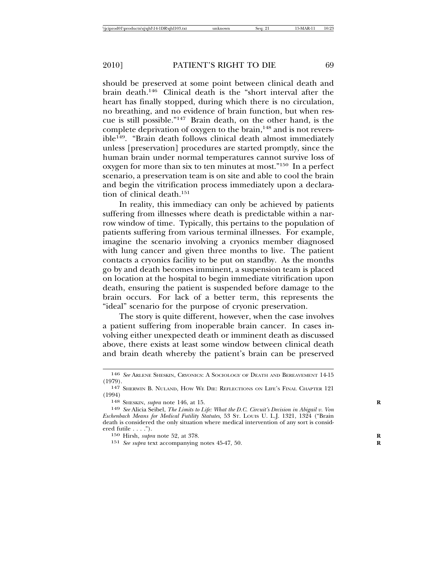should be preserved at some point between clinical death and brain death.146 Clinical death is the "short interval after the heart has finally stopped, during which there is no circulation, no breathing, and no evidence of brain function, but when rescue is still possible."147 Brain death, on the other hand, is the complete deprivation of oxygen to the brain, $148$  and is not reversible<sup>149</sup>. "Brain death follows clinical death almost immediately unless [preservation] procedures are started promptly, since the human brain under normal temperatures cannot survive loss of oxygen for more than six to ten minutes at most."150 In a perfect scenario, a preservation team is on site and able to cool the brain and begin the vitrification process immediately upon a declaration of clinical death.<sup>151</sup>

In reality, this immediacy can only be achieved by patients suffering from illnesses where death is predictable within a narrow window of time. Typically, this pertains to the population of patients suffering from various terminal illnesses. For example, imagine the scenario involving a cryonics member diagnosed with lung cancer and given three months to live. The patient contacts a cryonics facility to be put on standby. As the months go by and death becomes imminent, a suspension team is placed on location at the hospital to begin immediate vitrification upon death, ensuring the patient is suspended before damage to the brain occurs. For lack of a better term, this represents the "ideal" scenario for the purpose of cryonic preservation.

The story is quite different, however, when the case involves a patient suffering from inoperable brain cancer. In cases involving either unexpected death or imminent death as discussed above, there exists at least some window between clinical death and brain death whereby the patient's brain can be preserved

<sup>146</sup> *See* ARLENE SHESKIN, CRYONICS: A SOCIOLOGY OF DEATH AND BEREAVEMENT 14-15 (1979).

<sup>147</sup> SHERWIN B. NULAND, HOW WE DIE: REFLECTIONS ON LIFE'S FINAL CHAPTER 121 (1994)

<sup>148</sup> SHESKIN, *supra* note 146, at 15. **R**

<sup>149</sup> *See* Alicia Seibel, *The Limits to Life: What the D.C. Circuit's Decision in Abigail v. Von Eschenbach Means for Medical Futility Statutes*, 53 ST. LOUIS U. L.J. 1321, 1324 ("Brain death is considered the only situation where medical intervention of any sort is considered futile . . . . ").

<sup>150</sup> Hirsh, *supra* note 52, at 378.

<sup>151</sup> *See supra* text accompanying notes 45-47, 50. **R**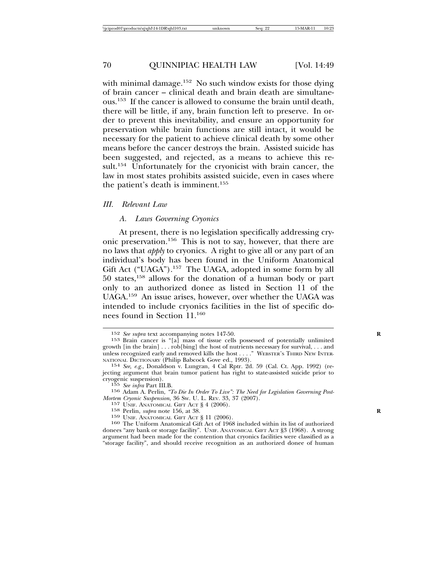with minimal damage.<sup>152</sup> No such window exists for those dying of brain cancer – clinical death and brain death are simultaneous.153 If the cancer is allowed to consume the brain until death, there will be little, if any, brain function left to preserve. In order to prevent this inevitability, and ensure an opportunity for preservation while brain functions are still intact, it would be necessary for the patient to achieve clinical death by some other means before the cancer destroys the brain. Assisted suicide has been suggested, and rejected, as a means to achieve this result.<sup>154</sup> Unfortunately for the cryonicist with brain cancer, the law in most states prohibits assisted suicide, even in cases where the patient's death is imminent.<sup>155</sup>

#### *III. Relevant Law*

#### *A. Laws Governing Cryonics*

At present, there is no legislation specifically addressing cryonic preservation.156 This is not to say, however, that there are no laws that *apply* to cryonics. A right to give all or any part of an individual's body has been found in the Uniform Anatomical Gift Act ("UAGA").<sup>157</sup> The UAGA, adopted in some form by all 50 states,158 allows for the donation of a human body or part only to an authorized donee as listed in Section 11 of the UAGA.159 An issue arises, however, over whether the UAGA was intended to include cryonics facilities in the list of specific donees found in Section 11.160

<sup>&</sup>lt;sup>152</sup> *See supra* text accompanying notes 147-50.<br><sup>153</sup> Brain cancer is "[a] mass of tissue cells possessed of potentially unlimited growth [in the brain] . . . rob[bing] the host of nutrients necessary for survival, . . . and unless recognized early and removed kills the host . . . ." WEBSTER'S THIRD NEW INTERNATIONAL DICTIONARY (Philip Babcock Gove ed., 1993).

<sup>&</sup>lt;sup>154</sup> *See, e.g.*, Donaldson v. Lungran, 4 Cal Rptr. 2d. 59 (Cal. Ct. App. 1992) (rejecting argument that brain tumor patient has right to state-assisted suicide prior to

<sup>&</sup>lt;sup>155</sup> *See infra Part III.B.*<br>
<sup>156</sup> Adam A. Perlin, *"To Die In Order To Live": The Need for Legislation Governing Post-*<br> *Mortem Cryonic Suspension*, 36 Sw. U. L. REV. 33, 37 (2007).

<sup>&</sup>lt;sup>157</sup> UNIF. ANATOMICAL GIFT ACT § 4 (2006).<br><sup>158</sup> Perlin, *supra* note 156, at 38.<br><sup>159</sup> UNIF. ANATOMICAL GIFT ACT § 11 (2006).<br><sup>160</sup> The Uniform Anatomical Gift Act of 1968 included within its list of authorized donees "any bank or storage facility". UNIF. ANATOMICAL GIFT ACT §3 (1968). A strong argument had been made for the contention that cryonics facilities were classified as a "storage facility", and should receive recognition as an authorized donee of human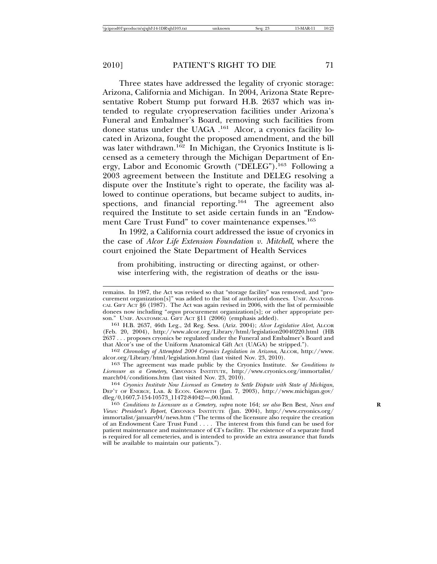Three states have addressed the legality of cryonic storage: Arizona, California and Michigan. In 2004, Arizona State Representative Robert Stump put forward H.B. 2637 which was intended to regulate cryopreservation facilities under Arizona's Funeral and Embalmer's Board, removing such facilities from donee status under the UAGA .161 Alcor, a cryonics facility located in Arizona, fought the proposed amendment, and the bill was later withdrawn.<sup>162</sup> In Michigan, the Cryonics Institute is licensed as a cemetery through the Michigan Department of Energy, Labor and Economic Growth ("DELEG").163 Following a 2003 agreement between the Institute and DELEG resolving a dispute over the Institute's right to operate, the facility was allowed to continue operations, but became subject to audits, inspections, and financial reporting.<sup>164</sup> The agreement also required the Institute to set aside certain funds in an "Endowment Care Trust Fund" to cover maintenance expenses.<sup>165</sup>

In 1992, a California court addressed the issue of cryonics in the case of *Alcor Life Extension Foundation v. Mitchell*, where the court enjoined the State Department of Health Services

from prohibiting, instructing or directing against, or otherwise interfering with, the registration of deaths or the issu-

son." UNIF. ANATOMICAL GIFT ACT §11 (2006) (emphasis added). <sup>161</sup> H.B. 2637, 46th Leg., 2d Reg. Sess. (Ariz. 2004); *Alcor Legislative Alert*, ALCOR (Feb. 20, 2004), http://www.alcor.org/Library/html/legislation20040220.html (HB 2637 . . . proposes cryonics be regulated under the Funeral and Embalmer's Board and that Alcor's use of the Uniform Anatomical Gift Act (UAGA) be stripped.").

<sup>162</sup> Chronology of Attempted 2004 Cryonics Legislation in Arizona, ALCOR, http://www.<br>alcor.org/Library/html/legislation.html (last visited Nov. 23, 2010).

<sup>163</sup> The agreement was made public by the Cryonics Institute. *See Conditions to Licensure as a Cemetery*, CRYONICS INSTITUTE, http://www.cryonics.org/immortalist/<br>march04/conditions.htm (last visited Nov. 23, 2010).

march04/conditions.htm (last visited Nov. 23, 2010). <sup>164</sup> *Cryonics Institute Now Licensed as Cemetery to Settle Dispute with State of Michigan*, DEP'T OF ENERGY, LAB. & ECON. GROWTH (Jan. 7, 2003), http://www.michigan.gov/ dleg/0,1607,7-154-10573\_11472-84042—,00.html.<br><sup>165</sup> *Conditions to Licensure as a Cemetery, supra* note 164; *see also* Ben Best, *News and* 

*Views: President's Report*, CRYONICS INSTITUTE (Jan. 2004), http://www.cryonics.org/ immortalist/january04/news.htm ("The terms of the licensure also require the creation of an Endowment Care Trust Fund . . . . The interest from this fund can be used for patient maintenance and maintenance of CI's facility. The existence of a separate fund is required for all cemeteries, and is intended to provide an extra assurance that funds will be available to maintain our patients.").

remains. In 1987, the Act was revised so that "storage facility" was removed, and "procurement organization[s]" was added to the list of authorized donees. UNIF. ANATOMI-CAL GIFT ACT §6 (1987). The Act was again revised in 2006, with the list of permissible donees now including "*organ* procurement organization[s]; or other appropriate per-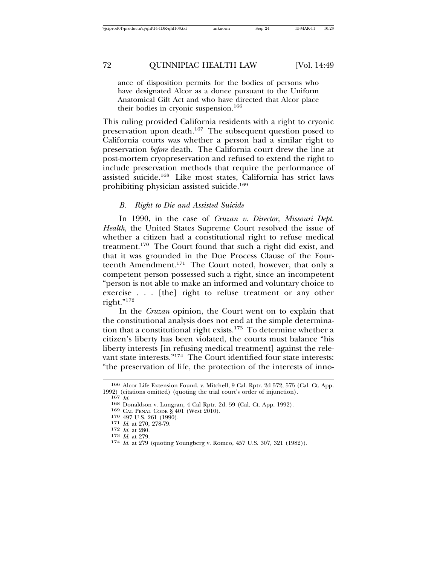ance of disposition permits for the bodies of persons who have designated Alcor as a donee pursuant to the Uniform Anatomical Gift Act and who have directed that Alcor place their bodies in cryonic suspension.<sup>166</sup>

This ruling provided California residents with a right to cryonic preservation upon death.<sup>167</sup> The subsequent question posed to California courts was whether a person had a similar right to preservation *before* death. The California court drew the line at post-mortem cryopreservation and refused to extend the right to include preservation methods that require the performance of assisted suicide.168 Like most states, California has strict laws prohibiting physician assisted suicide.169

#### *B. Right to Die and Assisted Suicide*

In 1990, in the case of *Cruzan v. Director, Missouri Dept. Health*, the United States Supreme Court resolved the issue of whether a citizen had a constitutional right to refuse medical treatment.170 The Court found that such a right did exist, and that it was grounded in the Due Process Clause of the Fourteenth Amendment.171 The Court noted, however, that only a competent person possessed such a right, since an incompetent "person is not able to make an informed and voluntary choice to exercise . . . [the] right to refuse treatment or any other right."<sup>172</sup>

In the *Cruzan* opinion, the Court went on to explain that the constitutional analysis does not end at the simple determination that a constitutional right exists.<sup>173</sup> To determine whether a citizen's liberty has been violated, the courts must balance "his liberty interests [in refusing medical treatment] against the relevant state interests."<sup>174</sup> The Court identified four state interests: "the preservation of life, the protection of the interests of inno-

<sup>166</sup> Alcor Life Extension Found. v. Mitchell, 9 Cal. Rptr. 2d 572, 575 (Cal. Ct. App.

<sup>167</sup>  $Id$ .<br>
168 Donaldson v. Lungran, 4 Cal Rptr. 2d. 59 (Cal. Ct. App. 1992).<br>
169 CAL PENAL CODE § 401 (West 2010).<br>
170 497 U.S. 261 (1990).<br>
171 *Id.* at 270, 278-79.<br>
172 *Id.* at 280.

<sup>173</sup> *Id.* at 279. 174 *Id.* at 279. 174 *Id.* at 279 (quoting Youngberg v. Romeo, 457 U.S. 307, 321 (1982)).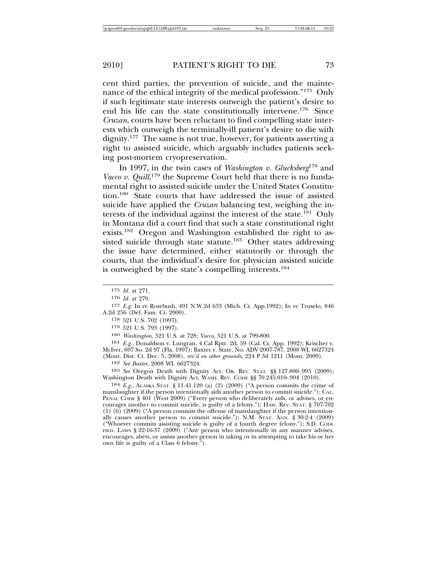cent third parties, the prevention of suicide, and the maintenance of the ethical integrity of the medical profession."175 Only if such legitimate state interests outweigh the patient's desire to end his life can the state constitutionally intervene.176 Since *Cruzan*, courts have been reluctant to find compelling state interests which outweigh the terminally-ill patient's desire to die with dignity.177 The same is not true, however, for patients asserting a right to assisted suicide, which arguably includes patients seeking post-mortem cryopreservation.

In 1997, in the twin cases of *Washington v. Glucksberg*178 and Vacco v. Quill,<sup>179</sup> the Supreme Court held that there is no fundamental right to assisted suicide under the United States Constitution.180 State courts that have addressed the issue of assisted suicide have applied the *Cruzan* balancing test, weighing the interests of the individual against the interest of the state.<sup>181</sup> Only in Montana did a court find that such a state constitutional right exists.182 Oregon and Washington established the right to assisted suicide through state statute.<sup>183</sup> Other states addressing the issue have determined, either statutorily or through the courts, that the individual's desire for physician assisted suicide is outweighed by the state's compelling interests.<sup>184</sup>

178 521 U.S. 702 (1997).

179 521 U.S. 793 (1997).

180 *Washington*, 521 U.S. at 728; *Vacco*, 521 U.S. at 799-800.

181 *E.g.*, Donaldson v. Lungran, 4 Cal Rptr. 2d. 59 (Cal. Ct. App. 1992); Krischer v. McIver, 697 So. 2d 97 (Fla. 1997); Baxter v. State, No. ADV-2007-787, 2008 WL 6627324 (Mont. Dist. Ct. Dec. 5, 2008), *rev'd on other grounds*, 224 P.3d 1211 (Mont. 2009).

182 *See Baxter*, 2008 WL 6627324.

183 *See* Oregon Death with Dignity Act, OR. REV. STAT. §§ 127.800-.995 (2009); Washington Death with Dignity Act, WASH. REV. CODE §§ 70.245.010-.904 (2010).

184 *E.g.*, ALASKA STAT. § 11.41.120 (a) (2) (2009) ("A person commits the crime of manslaughter if the person intentionally aids another person to commit suicide."); CAL. PENAL CODE § 401 (West 2009) ("Every person who deliberately aids, or advises, or encourages another to commit suicide, is guilty of a felony."); HAW. REV. STAT. § 707-702 (1) (b) (2009) ("A person commits the offense of manslaughter if the person intentionally causes another person to commit suicide."); N.M. STAT. ANN. § 30-2-4 (2009) ("Whoever commits assisting suicide is guilty of a fourth degree felony."); S.D. CODI-FIED. LAWS § 22-16-37 (2009) ("Any person who intentionally in any manner advises, encourages, abets, or assists another person in taking or in attempting to take his or her own life is guilty of a Class 6 felony.").

<sup>175</sup> *Id.* at 271.

<sup>176</sup> *Id.* at 279.

<sup>177</sup> *E.g.* In re Rosebush, 491 N.W.2d 633 (Mich. Ct. App.1992); In re Truselo, 846 A.2d 256 (Del. Fam. Ct. 2000).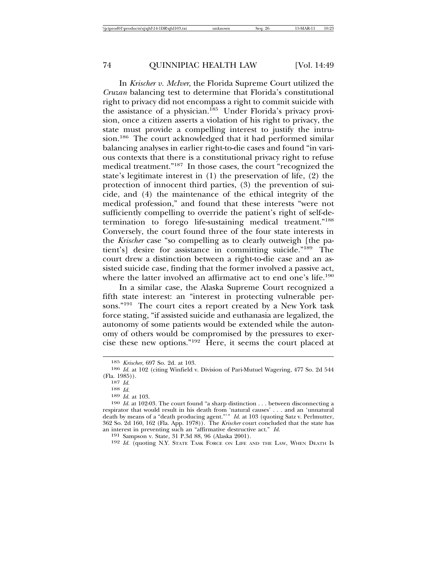In *Krischer v. McIver*, the Florida Supreme Court utilized the *Cruzan* balancing test to determine that Florida's constitutional right to privacy did not encompass a right to commit suicide with the assistance of a physician.<sup>185</sup> Under Florida's privacy provision, once a citizen asserts a violation of his right to privacy, the state must provide a compelling interest to justify the intrusion.<sup>186</sup> The court acknowledged that it had performed similar balancing analyses in earlier right-to-die cases and found "in various contexts that there is a constitutional privacy right to refuse medical treatment."187 In those cases, the court "recognized the state's legitimate interest in (1) the preservation of life, (2) the protection of innocent third parties, (3) the prevention of suicide, and (4) the maintenance of the ethical integrity of the medical profession," and found that these interests "were not sufficiently compelling to override the patient's right of self-determination to forego life-sustaining medical treatment."<sup>188</sup> Conversely, the court found three of the four state interests in the *Krischer* case "so compelling as to clearly outweigh [the patient's] desire for assistance in committing suicide."189 The court drew a distinction between a right-to-die case and an assisted suicide case, finding that the former involved a passive act, where the latter involved an affirmative act to end one's life.<sup>190</sup>

In a similar case, the Alaska Supreme Court recognized a fifth state interest: an "interest in protecting vulnerable persons."191 The court cites a report created by a New York task force stating, "if assisted suicide and euthanasia are legalized, the autonomy of some patients would be extended while the autonomy of others would be compromised by the pressures to exercise these new options."192 Here, it seems the court placed at

<sup>&</sup>lt;sup>185</sup> *Krischer*, 697 So. 2d. at 103.<br><sup>186</sup> *Id.* at 102 (citing Winfield v. Division of Pari-Mutuel Wagering, 477 So. 2d 544 (Fla. 1985)).

<sup>187</sup> *Id.* 188 *Id.* 188 *Id.* 188 *Id.* 188 *Id.* 188 *Id.* 103. 189 *Id.* at 103. 190 *Id.* at 102-03. The court found "a sharp distinction . . . between disconnecting a respirator that would result in his death from 'natural causes' . . . and an 'unnatural death by means of a "death producing agent."'" *Id.* at 103 (quoting Satz v. Perlmutter, 362 So. 2d 160, 162 (Fla. App. 1978)). The *Krischer* court concluded that the state has an interest in preventing such an "affirmative destructive act." *Id.* 191 Sampson v. State, 31 P.3d 88, 96 (Alaska 2001). 192 *Id.* (quoting N.Y. State Task Force on Life and the Law, When Death Is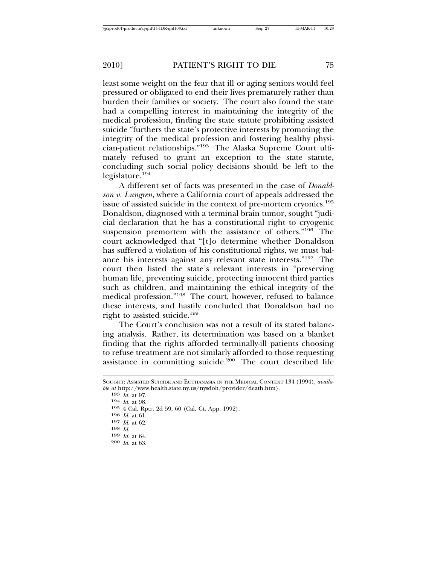least some weight on the fear that ill or aging seniors would feel pressured or obligated to end their lives prematurely rather than burden their families or society. The court also found the state had a compelling interest in maintaining the integrity of the medical profession, finding the state statute prohibiting assisted suicide "furthers the state's protective interests by promoting the integrity of the medical profession and fostering healthy physician-patient relationships."193 The Alaska Supreme Court ultimately refused to grant an exception to the state statute, concluding such social policy decisions should be left to the legislature.<sup>194</sup>

A different set of facts was presented in the case of *Donaldson v. Lungren*, where a California court of appeals addressed the issue of assisted suicide in the context of pre-mortem cryonics.195 Donaldson, diagnosed with a terminal brain tumor, sought "judicial declaration that he has a constitutional right to cryogenic suspension premortem with the assistance of others."196 The court acknowledged that "[t]o determine whether Donaldson has suffered a violation of his constitutional rights, we must balance his interests against any relevant state interests."197 The court then listed the state's relevant interests in "preserving human life, preventing suicide, protecting innocent third parties such as children, and maintaining the ethical integrity of the medical profession."198 The court, however, refused to balance these interests, and hastily concluded that Donaldson had no right to assisted suicide.199

The Court's conclusion was not a result of its stated balancing analysis. Rather, its determination was based on a blanket finding that the rights afforded terminally-ill patients choosing to refuse treatment are not similarly afforded to those requesting assistance in committing suicide.<sup>200</sup> The court described life

SOUGHT: ASSISTED SUICIDE AND EUTHANASIA IN THE MEDICAL CONTEXT 134 (1994), *available at* http://www.health.state.ny.us/nysdoh/provider/death.htm).

<sup>194</sup> *Id.* at 98.<br>
195 4 Cal. Rptr. 2d 59, 60 (Cal. Ct. App. 1992).<br>
196 *Id.* at 61.<br>
197 *Id.* at 62.<br>
198 *Id.*<br>
199 *Id.* at 64.<br>
200 *Id.* at 63.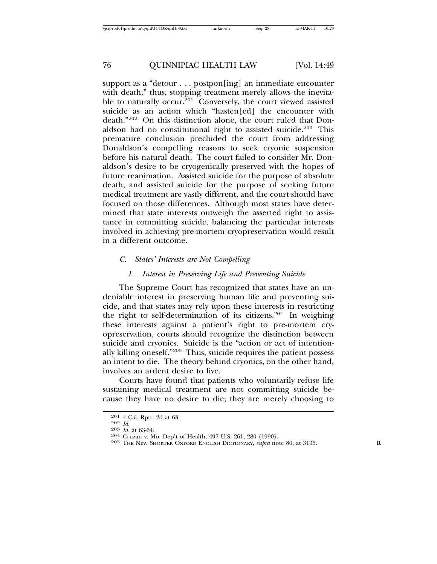support as a "detour . . . postpon[ing] an immediate encounter with death," thus, stopping treatment merely allows the inevitable to naturally occur.<sup>201</sup> Conversely, the court viewed assisted suicide as an action which "hasten[ed] the encounter with death."202 On this distinction alone, the court ruled that Donaldson had no constitutional right to assisted suicide.<sup>203</sup> This premature conclusion precluded the court from addressing Donaldson's compelling reasons to seek cryonic suspension before his natural death. The court failed to consider Mr. Donaldson's desire to be cryogenically preserved with the hopes of future reanimation. Assisted suicide for the purpose of absolute death, and assisted suicide for the purpose of seeking future medical treatment are vastly different, and the court should have focused on those differences. Although most states have determined that state interests outweigh the asserted right to assistance in committing suicide, balancing the particular interests involved in achieving pre-mortem cryopreservation would result in a different outcome.

#### *C. States' Interests are Not Compelling*

## *1. Interest in Preserving Life and Preventing Suicide*

The Supreme Court has recognized that states have an undeniable interest in preserving human life and preventing suicide, and that states may rely upon these interests in restricting the right to self-determination of its citizens.<sup>204</sup> In weighing these interests against a patient's right to pre-mortem cryopreservation, courts should recognize the distinction between suicide and cryonics. Suicide is the "action or act of intentionally killing oneself."205 Thus, suicide requires the patient possess an intent to die. The theory behind cryonics, on the other hand, involves an ardent desire to live.

Courts have found that patients who voluntarily refuse life sustaining medical treatment are not committing suicide because they have no desire to die; they are merely choosing to

<sup>201 4</sup> Cal. Rptr. 2d at 63.<br>
<sup>202</sup> *Id.* 203 *Id.* at 63-64.<br>
<sup>204</sup> Cruzan v. Mo. Dep't of Health, 497 U.S. 261, 280 (1990).<br>
<sup>205</sup> THE NEW SHORTER OXFORD ENGLISH DICTIONARY, *supra* note 80, at 3135.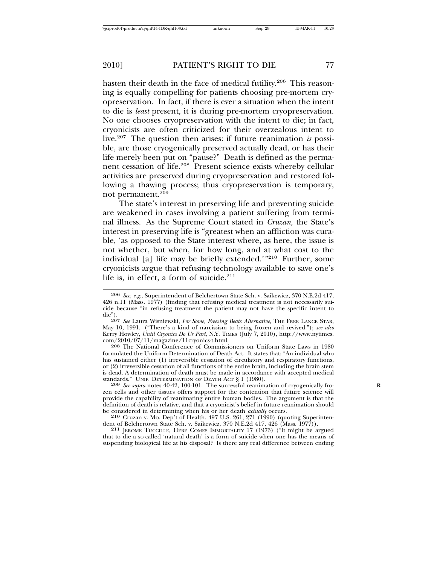hasten their death in the face of medical futility.<sup>206</sup> This reasoning is equally compelling for patients choosing pre-mortem cryopreservation. In fact, if there is ever a situation when the intent to die is *least* present, it is during pre-mortem cryopreservation. No one chooses cryopreservation with the intent to die; in fact, cryonicists are often criticized for their overzealous intent to live.207 The question then arises: if future reanimation *is* possible, are those cryogenically preserved actually dead, or has their life merely been put on "pause?" Death is defined as the permanent cessation of life.208 Present science exists whereby cellular activities are preserved during cryopreservation and restored following a thawing process; thus cryopreservation is temporary, not permanent.209

The state's interest in preserving life and preventing suicide are weakened in cases involving a patient suffering from terminal illness. As the Supreme Court stated in *Cruzan*, the State's interest in preserving life is "greatest when an affliction was curable, 'as opposed to the State interest where, as here, the issue is not whether, but when, for how long, and at what cost to the individual [a] life may be briefly extended.'"210 Further, some cryonicists argue that refusing technology available to save one's life is, in effect, a form of suicide. $211$ 

<sup>208</sup> The National Conference of Commissioners on Uniform State Laws in 1980 formulated the Uniform Determination of Death Act. It states that: "An individual who has sustained either (1) irreversible cessation of circulatory and respiratory functions, or (2) irreversible cessation of all functions of the entire brain, including the brain stem is dead. A determination of death must be made in accordance with accepted medical standards." UNIF. DETERMINATION OF DEATH ACT § 1 (1980).<br><sup>209</sup> *See supra* notes 40-42, 100-101. The successful reanimation of cryogenically fro-

zen cells and other tissues offers support for the contention that future science will provide the capability of reanimating entire human bodies. The argument is that the definition of death is relative, and that a cryonicist's belief in future reanimation should<br>be considered in determining when his or her death *actually* occurs.

<sup>210</sup> Cruzan v. Mo. Dep't of Health, 497 U.S. 261, 271 (1990) (quoting Superintendent of Belchertown State Sch. v. Saikewicz, 370 N.E.2d 417, 426 (Mass. 1977)).

<sup>211</sup> JEROME TUCCILLE, HERE COMES IMMORTALITY 17 (1973) ("It might be argued that to die a so-called 'natural death' is a form of suicide when one has the means of suspending biological life at his disposal? Is there any real difference between ending

<sup>206</sup> *See, e.g.*, Superintendent of Belchertown State Sch. v. Saikewicz, 370 N.E.2d 417, 426 n.11 (Mass. 1977) (finding that refusing medical treatment is not necessarily suicide because "in refusing treatment the patient may not have the specific intent to die").

<sup>207</sup> *See* Laura Wisniewski, *For Some, Freezing Beats Alternative*, THE FREE LANCE STAR, May 10, 1991. ("There's a kind of narcissism to being frozen and revived."); *see also* Kerry Howley, *Until Cryonics Do Us Part*, N.Y. TIMES (July 7, 2010), http://www.nytimes.<br>com/2010/07/11/magazine/11cryonics-t.html.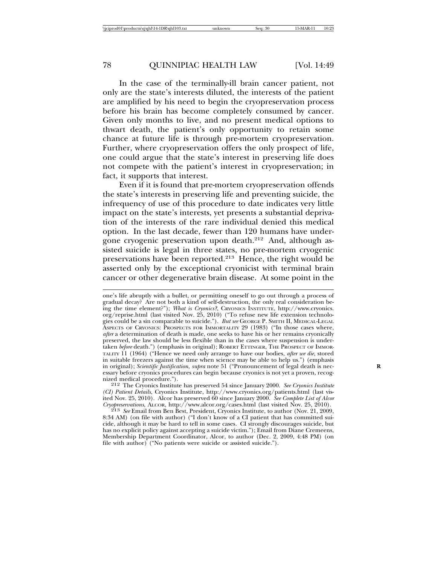In the case of the terminally-ill brain cancer patient, not only are the state's interests diluted, the interests of the patient are amplified by his need to begin the cryopreservation process before his brain has become completely consumed by cancer. Given only months to live, and no present medical options to thwart death, the patient's only opportunity to retain some chance at future life is through pre-mortem cryopreservation. Further, where cryopreservation offers the only prospect of life, one could argue that the state's interest in preserving life does not compete with the patient's interest in cryopreservation; in fact, it supports that interest.

Even if it is found that pre-mortem cryopreservation offends the state's interests in preserving life and preventing suicide, the infrequency of use of this procedure to date indicates very little impact on the state's interests, yet presents a substantial deprivation of the interests of the rare individual denied this medical option. In the last decade, fewer than 120 humans have undergone cryogenic preservation upon death. $212$  And, although assisted suicide is legal in three states, no pre-mortem cryogenic preservations have been reported.213 Hence, the right would be asserted only by the exceptional cryonicist with terminal brain cancer or other degenerative brain disease. At some point in the

one's life abruptly with a bullet, or permitting oneself to go out through a process of gradual decay? Are not both a kind of self-destruction, the only real consideration being the time element?"); *What is Cryonics?*, CRYONICS INSTITUTE, http://www.cryonics. org/reprise.html (last visited Nov. 25, 2010) ("To refuse new life extension technologies could be a sin comparable to suicide."). *But see* GEORGE P. SMITH II, MEDICAL-LEGAL ASPECTS OF CRYONICS: PROSPECTS FOR IMMORTALITY 29 (1983) ("In those cases where, *after* a determination of death is made, one seeks to have his or her remains cryonically preserved, the law should be less flexible than in the cases where suspension is undertaken *before* death.") (emphasis in original); ROBERT ETTINGER, THE PROSPECT OF IMMOR-TALITY 11 (1964) ("Hence we need only arrange to have our bodies, *after we die*, stored in suitable freezers against the time when science may be able to help us.") (emphasis in original); *Scientific Justification, supra* note 51 ("Pronouncement of legal death is necessary before cryonics procedures can begin because cryonics is not yet a proven, recog-

<sup>&</sup>lt;sup>212</sup> The Cryonics Institute has preserved 54 since January 2000. See Cryonics Institute *(CI) Patient Details*, Cryonics Institute, http://www.cryonics.org/patients.html (last visited Nov. 25, 2010). Alcor has preserved 60 since January 2000. *See Complete List of Alcor Cryopreservations*, ALCOR, http://www.alcor.org/cases.html (last visited Nov. 25, 2010). <sup>213</sup> *See* Email from Ben Best, President, Cryonics Institute, to author (Nov. 21, 2009,

<sup>8:34</sup> AM) (on file with author) ("I don't know of a CI patient that has committed suicide, although it may be hard to tell in some cases. CI strongly discourages suicide, but has no explicit policy against accepting a suicide victim."); Email from Diane Cremeens, Membership Department Coordinator, Alcor, to author (Dec. 2, 2009, 4:48 PM) (on file with author) ("No patients were suicide or assisted suicide.").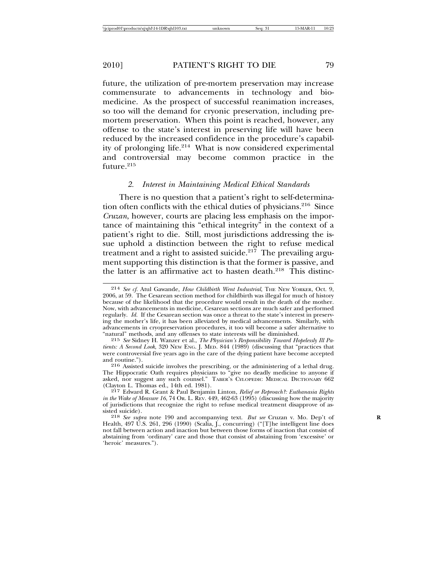future, the utilization of pre-mortem preservation may increase commensurate to advancements in technology and biomedicine. As the prospect of successful reanimation increases, so too will the demand for cryonic preservation, including premortem preservation. When this point is reached, however, any offense to the state's interest in preserving life will have been reduced by the increased confidence in the procedure's capability of prolonging life.<sup>214</sup> What is now considered experimental and controversial may become common practice in the future.<sup>215</sup>

#### *2. Interest in Maintaining Medical Ethical Standards*

There is no question that a patient's right to self-determination often conflicts with the ethical duties of physicians.216 Since *Cruzan*, however, courts are placing less emphasis on the importance of maintaining this "ethical integrity" in the context of a patient's right to die. Still, most jurisdictions addressing the issue uphold a distinction between the right to refuse medical treatment and a right to assisted suicide.<sup>217</sup> The prevailing argument supporting this distinction is that the former is passive, and the latter is an affirmative act to hasten death.<sup>218</sup> This distinc-

<sup>216</sup> Assisted suicide involves the prescribing, or the administering of a lethal drug. The Hippocratic Oath requires physicians to "give no deadly medicine to anyone if asked, nor suggest any such counsel." TABER'S CYLOPEDIC MEDICAL DICTIONARY 662 (Clayton L. Thomas ed., 14th ed. 1981).

<sup>214</sup> *See cf.* Atul Gawande, *How Childbirth Went Industrial*, THE NEW YORKER, Oct. 9, 2006, at 59. The Cesarean section method for childbirth was illegal for much of history because of the likelihood that the procedure would result in the death of the mother. Now, with advancements in medicine, Cesarean sections are much safer and performed regularly. *Id.* If the Cesarean section was once a threat to the state's interest in preserving the mother's life, it has been alleviated by medical advancements. Similarly, with advancements in cryopreservation procedures, it too will become a safer alternative to

<sup>&</sup>lt;sup>215</sup> See Sidney H. Wanzer et al., *The Physician's Responsibility Toward Hopelessly Ill Patients: A Second Look*, 320 NEW ENG. J. MED. 844 (1989) (discussing that "practices that were controversial five years ago in the care of the dying patient have become accepted

<sup>217</sup> Edward R. Grant & Paul Benjamin Linton, *Relief or Reproach?: Euthanasia Rights in the Wake of Measure 16*, 74 OR. L. REV. 449, 462-63 (1995) (discussing how the majority of jurisdictions that recognize the right to refuse medical treatment disapprove of as-

<sup>218</sup> *See supra* note 190 and accompanying text. *But see* Cruzan v. Mo. Dep't of Health, 497 U.S. 261, 296 (1990) (Scalia, J., concurring) ("[T]he intelligent line does not fall between action and inaction but between those forms of inaction that consist of abstaining from 'ordinary' care and those that consist of abstaining from 'excessive' or 'heroic' measures.").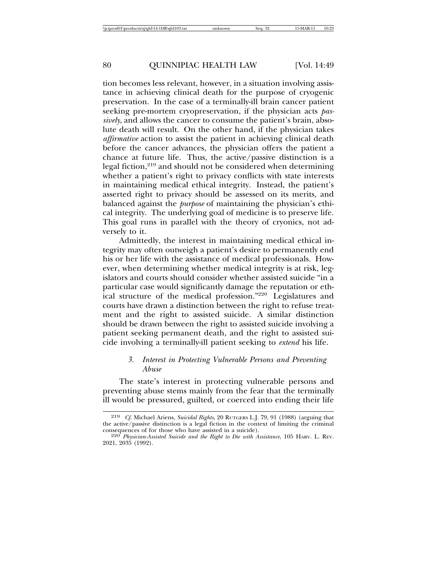tion becomes less relevant, however, in a situation involving assistance in achieving clinical death for the purpose of cryogenic preservation. In the case of a terminally-ill brain cancer patient seeking pre-mortem cryopreservation, if the physician acts *passively*, and allows the cancer to consume the patient's brain, absolute death will result. On the other hand, if the physician takes *affirmative* action to assist the patient in achieving clinical death before the cancer advances, the physician offers the patient a chance at future life. Thus, the active/passive distinction is a legal fiction,<sup>219</sup> and should not be considered when determining whether a patient's right to privacy conflicts with state interests in maintaining medical ethical integrity. Instead, the patient's asserted right to privacy should be assessed on its merits, and balanced against the *purpose* of maintaining the physician's ethical integrity. The underlying goal of medicine is to preserve life. This goal runs in parallel with the theory of cryonics, not adversely to it.

Admittedly, the interest in maintaining medical ethical integrity may often outweigh a patient's desire to permanently end his or her life with the assistance of medical professionals. However, when determining whether medical integrity is at risk, legislators and courts should consider whether assisted suicide "in a particular case would significantly damage the reputation or ethical structure of the medical profession."220 Legislatures and courts have drawn a distinction between the right to refuse treatment and the right to assisted suicide. A similar distinction should be drawn between the right to assisted suicide involving a patient seeking permanent death, and the right to assisted suicide involving a terminally-ill patient seeking to *extend* his life.

### *3. Interest in Protecting Vulnerable Persons and Preventing Abuse*

The state's interest in protecting vulnerable persons and preventing abuse stems mainly from the fear that the terminally ill would be pressured, guilted, or coerced into ending their life

<sup>219</sup> *Cf.* Michael Ariens, *Suicidal Rights*, 20 RUTGERS L.J. 79, 91 (1988) (arguing that the active/passive distinction is a legal fiction in the context of limiting the criminal

<sup>&</sup>lt;sup>220</sup> Physician-Assisted Suicide and the Right to Die with Assistance, 105 HARV. L. REV. 2021, 2035 (1992).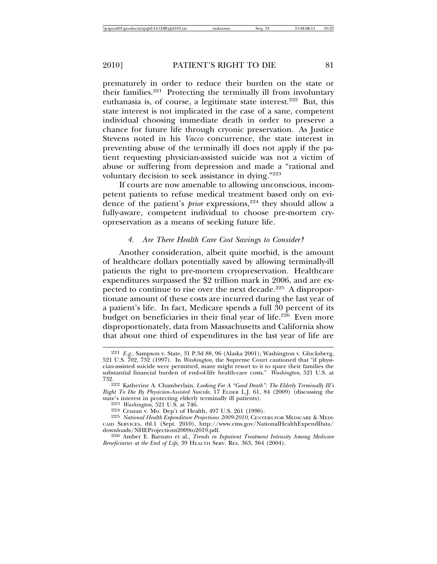prematurely in order to reduce their burden on the state or their families. $221$  Protecting the terminally ill from involuntary euthanasia is, of course, a legitimate state interest.<sup>222</sup> But, this state interest is not implicated in the case of a sane, competent individual choosing immediate death in order to preserve a chance for future life through cryonic preservation. As Justice Stevens noted in his *Vacco* concurrence, the state interest in preventing abuse of the terminally ill does not apply if the patient requesting physician-assisted suicide was not a victim of abuse or suffering from depression and made a "rational and voluntary decision to seek assistance in dying."223

If courts are now amenable to allowing unconscious, incompetent patients to refuse medical treatment based only on evidence of the patient's *prior* expressions,<sup>224</sup> they should allow a fully-aware, competent individual to choose pre-mortem cryopreservation as a means of seeking future life.

# *4. Are There Health Care Cost Savings to Consider?*

Another consideration, albeit quite morbid, is the amount of healthcare dollars potentially saved by allowing terminally-ill patients the right to pre-mortem cryopreservation. Healthcare expenditures surpassed the \$2 trillion mark in 2006, and are expected to continue to rise over the next decade.<sup>225</sup> A disproportionate amount of these costs are incurred during the last year of a patient's life. In fact, Medicare spends a full 30 percent of its budget on beneficiaries in their final year of life.<sup>226</sup> Even more disproportionately, data from Massachusetts and California show that about one third of expenditures in the last year of life are

<sup>221</sup> *E.g.*, Sampson v. State, 31 P.3d 88, 96 (Alaska 2001); Washington v. Glucksberg, 521 U.S. 702, 732 (1997). In *Washington*, the Supreme Court cautioned that "if physician-assisted suicide were permitted, many might resort to it to spare their families the substantial financial burden of end-of-life health-care costs." *Washington*, 521 U.S. at

<sup>732.222</sup> Katherine A. Chamberlain, *Looking For A "Good Death": The Elderly Terminally Ill's Right To Die By Physician-Assisted Suicide*, 17 ELDER L.J. 61, 84 (2009) (discussing the state's interest in protecting elderly terminally ill patients).<br>
<sup>223</sup> Washington, 521 U.S. at 746.<br>
<sup>224</sup> Cruzan v. Mo. Dep't of Health, 497 U.S. 261 (1990).<br>
<sup>225</sup> National Health Expenditure Projections 2009-2010, CENT

CAID SERVICES, tbl.1 (Sept. 2010), http://www.cms.gov/NationalHealthExpendData/

<sup>&</sup>lt;sup>226</sup> Amber E. Barnato et al., *Trends in Inpatient Treatment Intensity Among Medicare Beneficiaries at the End of Life*, 39 HEALTH SERV. RES. 363, 364 (2004).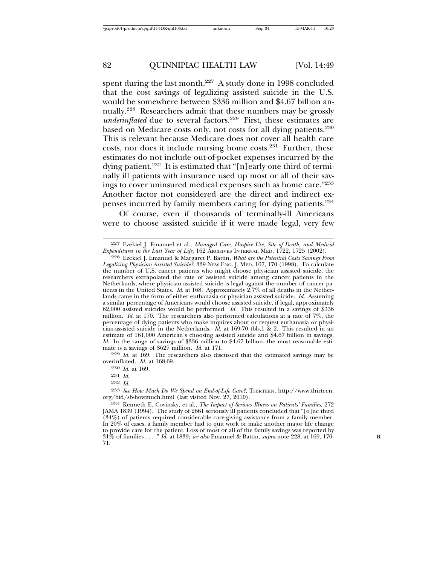spent during the last month.<sup>227</sup> A study done in 1998 concluded that the cost savings of legalizing assisted suicide in the U.S. would be somewhere between \$336 million and \$4.67 billion annually.228 Researchers admit that these numbers may be grossly *underinflated* due to several factors.<sup>229</sup> First, these estimates are based on Medicare costs only, not costs for all dying patients.<sup>230</sup> This is relevant because Medicare does not cover all health care costs, nor does it include nursing home costs.231 Further, these estimates do not include out-of-pocket expenses incurred by the dying patient.232 It is estimated that "[n]early one third of terminally ill patients with insurance used up most or all of their savings to cover uninsured medical expenses such as home care."233 Another factor not considered are the direct and indirect expenses incurred by family members caring for dying patients.234

Of course, even if thousands of terminally-ill Americans were to choose assisted suicide if it were made legal, very few

228 Ezekiel J. Emanuel & Margaret P. Battin, *What are the Potential Costs Savings From Legalizing Physician-Assisted Suicide?*, 339 NEW ENG. J. MED. 167, 170 (1998). To calculate the number of U.S. cancer patients who might choose physician assisted suicide, the researchers extrapolated the rate of assisted suicide among cancer patients in the Netherlands, where physician assisted suicide is legal against the number of cancer patients in the United States. *Id.* at 168. Approximately 2.7% of all deaths in the Netherlands came in the form of either euthanasia or physician assisted suicide. *Id.* Assuming a similar percentage of Americans would choose assisted suicide, if legal, approximately 62,000 assisted suicides would be performed. *Id.* This resulted in a savings of \$336 million. *Id.* at 170. The researchers also performed calculations at a rate of 7%, the percentage of dying patients who make inquires about or request euthanasia or physician-assisted suicide in the Netherlands. *Id.* at 169-70 tbls.1 & 2. This resulted in an estimate of 161,000 American's choosing assisted suicide and \$4.67 billion in savings. *Id.* In the range of savings of \$336 million to \$4.67 billion, the most reasonable estimate is a savings of \$627 million. *Id.* at 171.

229 *Id.* at 169. The researchers also discussed that the estimated savings may be overinflated. *Id.* at 168-69.

230 *Id.* at 169.

231 *Id.*

232 *Id.*

233 *See How Much Do We Spend on End-of-Life Care?*, THIRTEEN, http://www.thirteen. org/bid/sb-howmuch.html (last visited Nov. 27, 2010).

234 Kenneth E. Covinsky, et al., *The Impact of Serious Illness on Patients' Families*, 272 JAMA 1839 (1994). The study of 2661 seriously ill patients concluded that "[o]ne third (34%) of patients required considerable care-giving assistance from a family member. In 20% of cases, a family member had to quit work or make another major life change to provide care for the patient. Loss of most or all of the family savings was reported by 31% of families . . . ." *Id.* at 1839; *see also* Emanuel & Battin, *supra* note 228, at 169, 170- **R** 71.

<sup>227</sup> Ezekiel J. Emanuel et al., *Managed Care, Hospice Use, Site of Death, and Medical Expenditures in the Last Year of Life*, 162 ARCHIVES INTERNAL MED. 1722, 1725 (2002).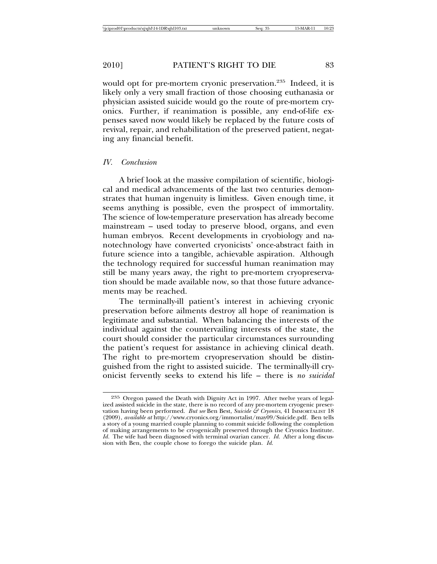would opt for pre-mortem cryonic preservation.<sup>235</sup> Indeed, it is likely only a very small fraction of those choosing euthanasia or physician assisted suicide would go the route of pre-mortem cryonics. Further, if reanimation is possible, any end-of-life expenses saved now would likely be replaced by the future costs of revival, repair, and rehabilitation of the preserved patient, negating any financial benefit.

#### *IV. Conclusion*

A brief look at the massive compilation of scientific, biological and medical advancements of the last two centuries demonstrates that human ingenuity is limitless. Given enough time, it seems anything is possible, even the prospect of immortality. The science of low-temperature preservation has already become mainstream – used today to preserve blood, organs, and even human embryos. Recent developments in cryobiology and nanotechnology have converted cryonicists' once-abstract faith in future science into a tangible, achievable aspiration. Although the technology required for successful human reanimation may still be many years away, the right to pre-mortem cryopreservation should be made available now, so that those future advancements may be reached.

The terminally-ill patient's interest in achieving cryonic preservation before ailments destroy all hope of reanimation is legitimate and substantial. When balancing the interests of the individual against the countervailing interests of the state, the court should consider the particular circumstances surrounding the patient's request for assistance in achieving clinical death. The right to pre-mortem cryopreservation should be distinguished from the right to assisted suicide. The terminally-ill cryonicist fervently seeks to extend his life – there is *no suicidal*

<sup>235</sup> Oregon passed the Death with Dignity Act in 1997. After twelve years of legalized assisted suicide in the state, there is no record of any pre-mortem cryogenic preservation having been performed. *But see* Ben Best, *Suicide & Cryonics*, 41 IMMORTALIST 18 (2009), *available at* http://www.cryonics.org/immortalist/may09/Suicide.pdf. Ben tells a story of a young married couple planning to commit suicide following the completion of making arrangements to be cryogenically preserved through the Cryonics Institute. *Id.* The wife had been diagnosed with terminal ovarian cancer. *Id.* After a long discussion with Ben, the couple chose to forego the suicide plan. *Id.*